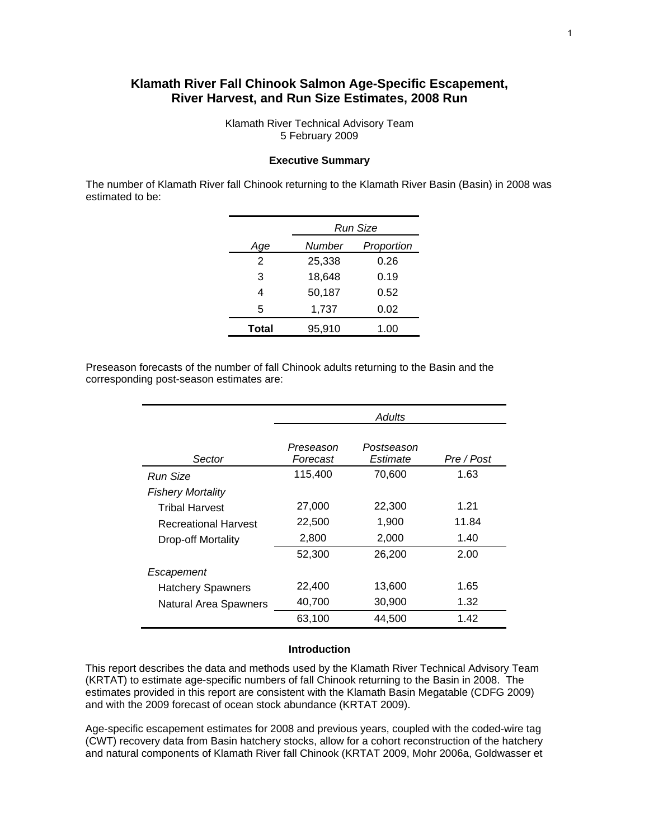# **Klamath River Fall Chinook Salmon Age-Specific Escapement, River Harvest, and Run Size Estimates, 2008 Run**

Klamath River Technical Advisory Team 5 February 2009

#### **Executive Summary**

The number of Klamath River fall Chinook returning to the Klamath River Basin (Basin) in 2008 was estimated to be:

|        | Run Size   |
|--------|------------|
|        |            |
| Number | Proportion |
| 25,338 | 0.26       |
| 18,648 | 0.19       |
| 50,187 | 0.52       |
| 1,737  | 0.02       |
| 95,910 | 1.00       |
|        |            |

Preseason forecasts of the number of fall Chinook adults returning to the Basin and the corresponding post-season estimates are:

|                              | Adults                |                        |            |  |  |  |  |  |  |
|------------------------------|-----------------------|------------------------|------------|--|--|--|--|--|--|
| Sector                       | Preseason<br>Forecast | Postseason<br>Estimate | Pre / Post |  |  |  |  |  |  |
| Run Size                     | 115,400               | 70,600                 | 1.63       |  |  |  |  |  |  |
| <b>Fishery Mortality</b>     |                       |                        |            |  |  |  |  |  |  |
| <b>Tribal Harvest</b>        | 27,000                | 22,300                 | 1.21       |  |  |  |  |  |  |
| <b>Recreational Harvest</b>  | 22,500                | 1,900                  | 11.84      |  |  |  |  |  |  |
| Drop-off Mortality           | 2,800                 | 2,000                  | 1.40       |  |  |  |  |  |  |
|                              | 52,300                | 26,200                 | 2.00       |  |  |  |  |  |  |
| Escapement                   |                       |                        |            |  |  |  |  |  |  |
| <b>Hatchery Spawners</b>     | 22,400                | 13,600                 | 1.65       |  |  |  |  |  |  |
| <b>Natural Area Spawners</b> | 40,700                | 30,900                 | 1.32       |  |  |  |  |  |  |
|                              | 63,100                | 44,500                 | 1.42       |  |  |  |  |  |  |

#### **Introduction**

This report describes the data and methods used by the Klamath River Technical Advisory Team (KRTAT) to estimate age-specific numbers of fall Chinook returning to the Basin in 2008. The estimates provided in this report are consistent with the Klamath Basin Megatable (CDFG 2009) and with the 2009 forecast of ocean stock abundance (KRTAT 2009).

Age-specific escapement estimates for 2008 and previous years, coupled with the coded-wire tag (CWT) recovery data from Basin hatchery stocks, allow for a cohort reconstruction of the hatchery and natural components of Klamath River fall Chinook (KRTAT 2009, Mohr 2006a, Goldwasser et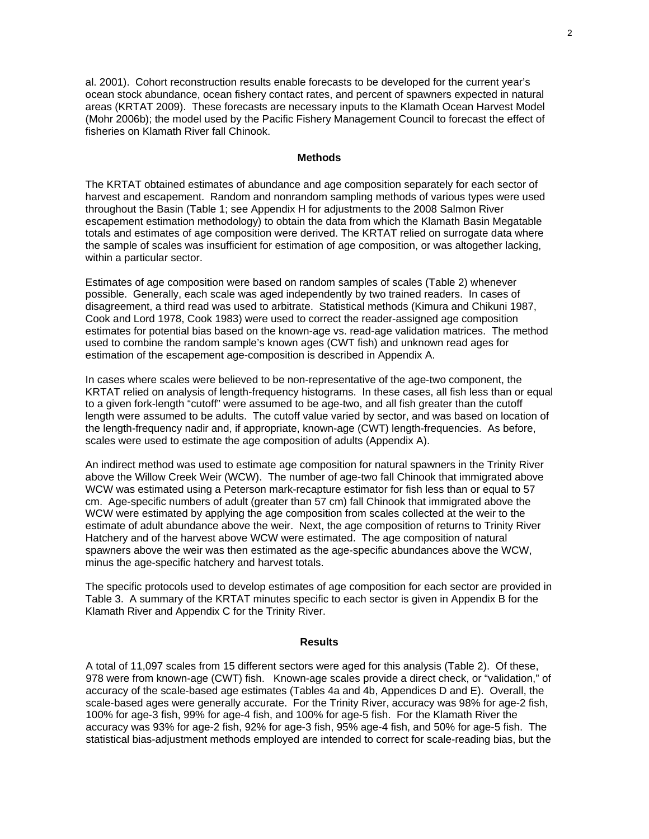al. 2001). Cohort reconstruction results enable forecasts to be developed for the current year's ocean stock abundance, ocean fishery contact rates, and percent of spawners expected in natural areas (KRTAT 2009). These forecasts are necessary inputs to the Klamath Ocean Harvest Model (Mohr 2006b); the model used by the Pacific Fishery Management Council to forecast the effect of fisheries on Klamath River fall Chinook.

#### **Methods**

The KRTAT obtained estimates of abundance and age composition separately for each sector of harvest and escapement. Random and nonrandom sampling methods of various types were used throughout the Basin (Table 1; see Appendix H for adjustments to the 2008 Salmon River escapement estimation methodology) to obtain the data from which the Klamath Basin Megatable totals and estimates of age composition were derived. The KRTAT relied on surrogate data where the sample of scales was insufficient for estimation of age composition, or was altogether lacking, within a particular sector.

Estimates of age composition were based on random samples of scales (Table 2) whenever possible. Generally, each scale was aged independently by two trained readers. In cases of disagreement, a third read was used to arbitrate. Statistical methods (Kimura and Chikuni 1987, Cook and Lord 1978, Cook 1983) were used to correct the reader-assigned age composition estimates for potential bias based on the known-age vs. read-age validation matrices. The method used to combine the random sample's known ages (CWT fish) and unknown read ages for estimation of the escapement age-composition is described in Appendix A.

In cases where scales were believed to be non-representative of the age-two component, the KRTAT relied on analysis of length-frequency histograms. In these cases, all fish less than or equal to a given fork-length "cutoff" were assumed to be age-two, and all fish greater than the cutoff length were assumed to be adults. The cutoff value varied by sector, and was based on location of the length-frequency nadir and, if appropriate, known-age (CWT) length-frequencies. As before, scales were used to estimate the age composition of adults (Appendix A).

An indirect method was used to estimate age composition for natural spawners in the Trinity River above the Willow Creek Weir (WCW). The number of age-two fall Chinook that immigrated above WCW was estimated using a Peterson mark-recapture estimator for fish less than or equal to 57 cm. Age-specific numbers of adult (greater than 57 cm) fall Chinook that immigrated above the WCW were estimated by applying the age composition from scales collected at the weir to the estimate of adult abundance above the weir. Next, the age composition of returns to Trinity River Hatchery and of the harvest above WCW were estimated. The age composition of natural spawners above the weir was then estimated as the age-specific abundances above the WCW, minus the age-specific hatchery and harvest totals.

The specific protocols used to develop estimates of age composition for each sector are provided in Table 3. A summary of the KRTAT minutes specific to each sector is given in Appendix B for the Klamath River and Appendix C for the Trinity River.

#### **Results**

A total of 11,097 scales from 15 different sectors were aged for this analysis (Table 2). Of these, 978 were from known-age (CWT) fish. Known-age scales provide a direct check, or "validation," of accuracy of the scale-based age estimates (Tables 4a and 4b, Appendices D and E). Overall, the scale-based ages were generally accurate. For the Trinity River, accuracy was 98% for age-2 fish, 100% for age-3 fish, 99% for age-4 fish, and 100% for age-5 fish. For the Klamath River the accuracy was 93% for age-2 fish, 92% for age-3 fish, 95% age-4 fish, and 50% for age-5 fish. The statistical bias-adjustment methods employed are intended to correct for scale-reading bias, but the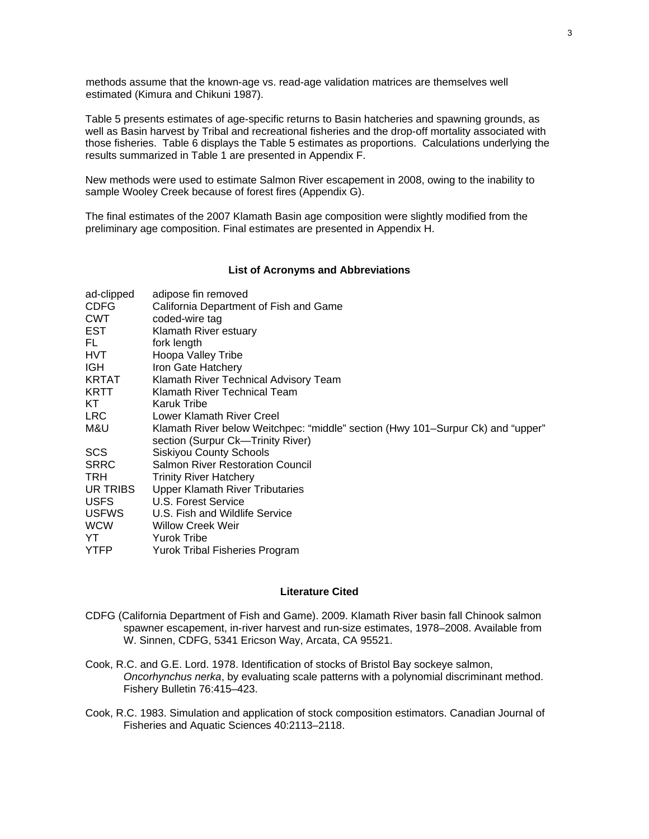methods assume that the known-age vs. read-age validation matrices are themselves well estimated (Kimura and Chikuni 1987).

Table 5 presents estimates of age-specific returns to Basin hatcheries and spawning grounds, as well as Basin harvest by Tribal and recreational fisheries and the drop-off mortality associated with those fisheries. Table 6 displays the Table 5 estimates as proportions. Calculations underlying the results summarized in Table 1 are presented in Appendix F.

New methods were used to estimate Salmon River escapement in 2008, owing to the inability to sample Wooley Creek because of forest fires (Appendix G).

The final estimates of the 2007 Klamath Basin age composition were slightly modified from the preliminary age composition. Final estimates are presented in Appendix H.

#### **List of Acronyms and Abbreviations**

| ad-clipped   | adipose fin removed                                                             |
|--------------|---------------------------------------------------------------------------------|
| <b>CDFG</b>  | California Department of Fish and Game                                          |
| <b>CWT</b>   | coded-wire tag                                                                  |
| EST          | Klamath River estuary                                                           |
| FL.          | fork length                                                                     |
| HVT          | Hoopa Valley Tribe                                                              |
| IGH          | Iron Gate Hatchery                                                              |
| KRTAT        | Klamath River Technical Advisory Team                                           |
| KRTT         | Klamath River Technical Team                                                    |
| KT.          | Karuk Tribe                                                                     |
| LRC.         | Lower Klamath River Creel                                                       |
| M&U          | Klamath River below Weitchpec: "middle" section (Hwy 101–Surpur Ck) and "upper" |
|              | section (Surpur Ck—Trinity River)                                               |
| SCS.         | <b>Siskiyou County Schools</b>                                                  |
| <b>SRRC</b>  | <b>Salmon River Restoration Council</b>                                         |
| TRH.         | <b>Trinity River Hatchery</b>                                                   |
| UR TRIBS     | <b>Upper Klamath River Tributaries</b>                                          |
| <b>USFS</b>  | U.S. Forest Service                                                             |
| <b>USFWS</b> | U.S. Fish and Wildlife Service                                                  |
| <b>WCW</b>   | <b>Willow Creek Weir</b>                                                        |
| YT           | <b>Yurok Tribe</b>                                                              |
| <b>YTFP</b>  | Yurok Tribal Fisheries Program                                                  |

#### **Literature Cited**

- CDFG (California Department of Fish and Game). 2009. Klamath River basin fall Chinook salmon spawner escapement, in-river harvest and run-size estimates, 1978–2008. Available from W. Sinnen, CDFG, 5341 Ericson Way, Arcata, CA 95521.
- Cook, R.C. and G.E. Lord. 1978. Identification of stocks of Bristol Bay sockeye salmon, *Oncorhynchus nerka*, by evaluating scale patterns with a polynomial discriminant method. Fishery Bulletin 76:415–423.
- Cook, R.C. 1983. Simulation and application of stock composition estimators. Canadian Journal of Fisheries and Aquatic Sciences 40:2113–2118.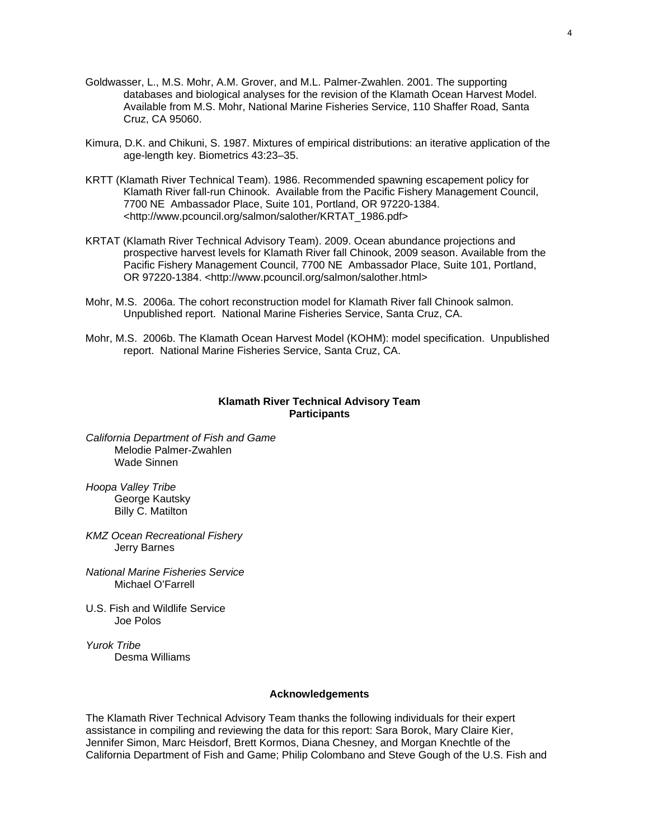- Goldwasser, L., M.S. Mohr, A.M. Grover, and M.L. Palmer-Zwahlen. 2001. The supporting databases and biological analyses for the revision of the Klamath Ocean Harvest Model. Available from M.S. Mohr, National Marine Fisheries Service, 110 Shaffer Road, Santa Cruz, CA 95060.
- Kimura, D.K. and Chikuni, S. 1987. Mixtures of empirical distributions: an iterative application of the age-length key. Biometrics 43:23–35.
- KRTT (Klamath River Technical Team). 1986. Recommended spawning escapement policy for Klamath River fall-run Chinook. Available from the Pacific Fishery Management Council, 7700 NE Ambassador Place, Suite 101, Portland, OR 97220-1384. <http://www.pcouncil.org/salmon/salother/KRTAT\_1986.pdf>
- KRTAT (Klamath River Technical Advisory Team). 2009. Ocean abundance projections and prospective harvest levels for Klamath River fall Chinook, 2009 season. Available from the Pacific Fishery Management Council, 7700 NE Ambassador Place, Suite 101, Portland, OR 97220-1384. <http://www.pcouncil.org/salmon/salother.html>
- Mohr, M.S. 2006a. The cohort reconstruction model for Klamath River fall Chinook salmon. Unpublished report. National Marine Fisheries Service, Santa Cruz, CA.
- Mohr, M.S. 2006b. The Klamath Ocean Harvest Model (KOHM): model specification. Unpublished report. National Marine Fisheries Service, Santa Cruz, CA.

#### **Klamath River Technical Advisory Team Participants**

*California Department of Fish and Game*  Melodie Palmer-Zwahlen Wade Sinnen

*Hoopa Valley Tribe*  George Kautsky Billy C. Matilton

*KMZ Ocean Recreational Fishery*  Jerry Barnes

*National Marine Fisheries Service*  Michael O'Farrell

U.S. Fish and Wildlife Service Joe Polos

*Yurok Tribe*  Desma Williams

#### **Acknowledgements**

The Klamath River Technical Advisory Team thanks the following individuals for their expert assistance in compiling and reviewing the data for this report: Sara Borok, Mary Claire Kier, Jennifer Simon, Marc Heisdorf, Brett Kormos, Diana Chesney, and Morgan Knechtle of the California Department of Fish and Game; Philip Colombano and Steve Gough of the U.S. Fish and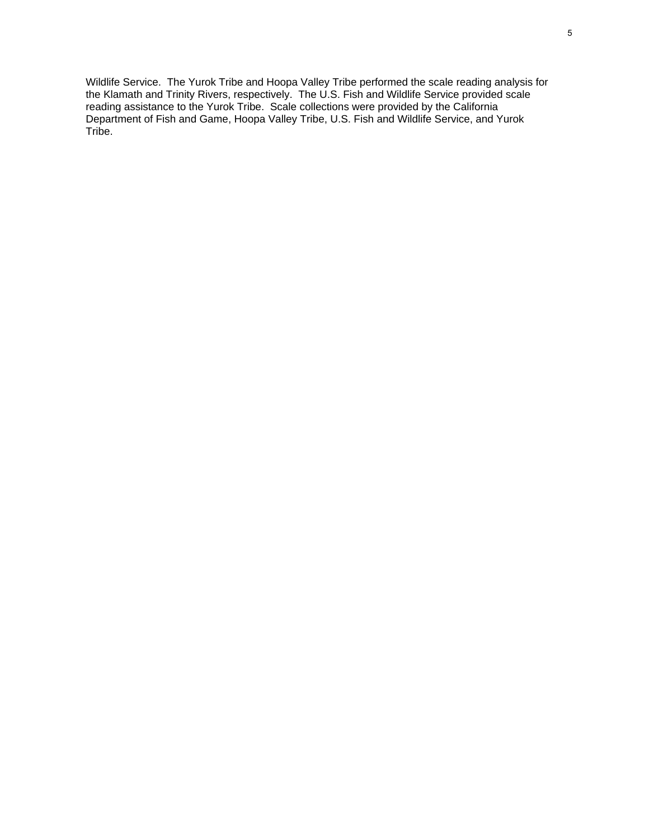Wildlife Service. The Yurok Tribe and Hoopa Valley Tribe performed the scale reading analysis for the Klamath and Trinity Rivers, respectively. The U.S. Fish and Wildlife Service provided scale reading assistance to the Yurok Tribe. Scale collections were provided by the California Department of Fish and Game, Hoopa Valley Tribe, U.S. Fish and Wildlife Service, and Yurok Tribe.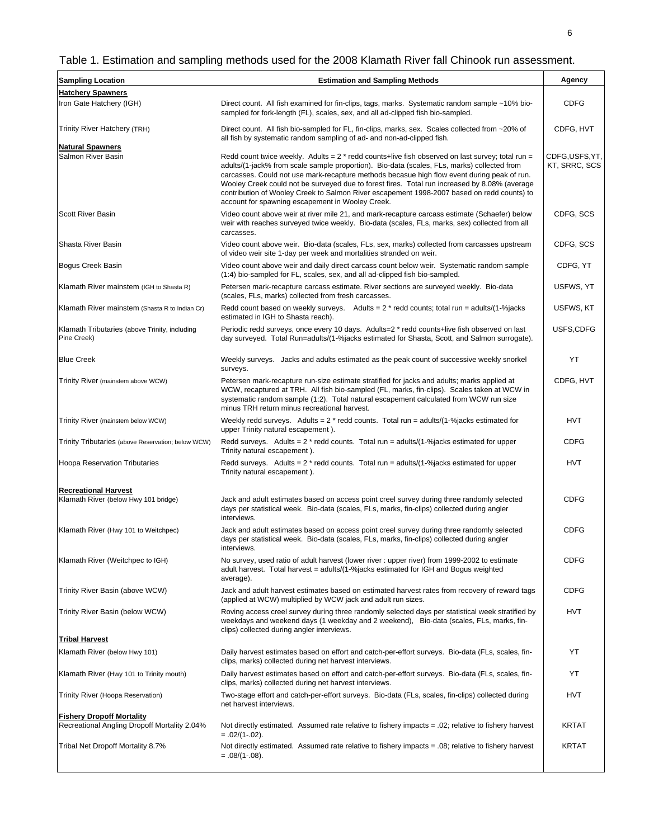# Table 1. Estimation and sampling methods used for the 2008 Klamath River fall Chinook run assessment.

| <b>Sampling Location</b>                                     | <b>Estimation and Sampling Methods</b>                                                                                                                                                                                                                                                                                                                                                                                                                                                                                                              | Agency                         |
|--------------------------------------------------------------|-----------------------------------------------------------------------------------------------------------------------------------------------------------------------------------------------------------------------------------------------------------------------------------------------------------------------------------------------------------------------------------------------------------------------------------------------------------------------------------------------------------------------------------------------------|--------------------------------|
| <b>Hatchery Spawners</b>                                     |                                                                                                                                                                                                                                                                                                                                                                                                                                                                                                                                                     |                                |
| Iron Gate Hatchery (IGH)                                     | Direct count. All fish examined for fin-clips, tags, marks. Systematic random sample ~10% bio-<br>sampled for fork-length (FL), scales, sex, and all ad-clipped fish bio-sampled.                                                                                                                                                                                                                                                                                                                                                                   | <b>CDFG</b>                    |
| Trinity River Hatchery (TRH)                                 | Direct count. All fish bio-sampled for FL, fin-clips, marks, sex. Scales collected from ~20% of<br>all fish by systematic random sampling of ad- and non-ad-clipped fish.                                                                                                                                                                                                                                                                                                                                                                           | CDFG, HVT                      |
| <b>Natural Spawners</b>                                      |                                                                                                                                                                                                                                                                                                                                                                                                                                                                                                                                                     |                                |
| Salmon River Basin                                           | Redd count twice weekly. Adults = $2 *$ redd counts+live fish observed on last survey; total run =<br>adults/(1-jack% from scale sample proportion). Bio-data (scales, FLs, marks) collected from<br>carcasses. Could not use mark-recapture methods becasue high flow event during peak of run.<br>Wooley Creek could not be surveyed due to forest fires. Total run increased by 8.08% (average<br>contribution of Wooley Creek to Salmon River escapement 1998-2007 based on redd counts) to<br>account for spawning escapement in Wooley Creek. | CDFG,USFS,YT,<br>KT, SRRC, SCS |
| <b>Scott River Basin</b>                                     | Video count above weir at river mile 21, and mark-recapture carcass estimate (Schaefer) below<br>weir with reaches surveyed twice weekly. Bio-data (scales, FLs, marks, sex) collected from all<br>carcasses.                                                                                                                                                                                                                                                                                                                                       | CDFG, SCS                      |
| Shasta River Basin                                           | Video count above weir. Bio-data (scales, FLs, sex, marks) collected from carcasses upstream<br>of video weir site 1-day per week and mortalities stranded on weir.                                                                                                                                                                                                                                                                                                                                                                                 | CDFG, SCS                      |
| Bogus Creek Basin                                            | Video count above weir and daily direct carcass count below weir. Systematic random sample<br>(1:4) bio-sampled for FL, scales, sex, and all ad-clipped fish bio-sampled.                                                                                                                                                                                                                                                                                                                                                                           | CDFG, YT                       |
| Klamath River mainstem (IGH to Shasta R)                     | Petersen mark-recapture carcass estimate. River sections are surveyed weekly. Bio-data<br>(scales, FLs, marks) collected from fresh carcasses.                                                                                                                                                                                                                                                                                                                                                                                                      | USFWS, YT                      |
| Klamath River mainstem (Shasta R to Indian Cr)               | Redd count based on weekly surveys. Adults = $2 *$ redd counts; total run = adults/(1-%jacks<br>estimated in IGH to Shasta reach).                                                                                                                                                                                                                                                                                                                                                                                                                  | USFWS, KT                      |
| Klamath Tributaries (above Trinity, including<br>Pine Creek) | Periodic redd surveys, once every 10 days. Adults=2 * redd counts+live fish observed on last<br>day surveyed. Total Run=adults/(1-%jacks estimated for Shasta, Scott, and Salmon surrogate).                                                                                                                                                                                                                                                                                                                                                        | USFS,CDFG                      |
| <b>Blue Creek</b>                                            | Weekly surveys. Jacks and adults estimated as the peak count of successive weekly snorkel<br>surveys.                                                                                                                                                                                                                                                                                                                                                                                                                                               | YT                             |
| Trinity River (mainstem above WCW)                           | Petersen mark-recapture run-size estimate stratified for jacks and adults; marks applied at<br>WCW, recaptured at TRH. All fish bio-sampled (FL, marks, fin-clips). Scales taken at WCW in<br>systematic random sample (1:2). Total natural escapement calculated from WCW run size<br>minus TRH return minus recreational harvest.                                                                                                                                                                                                                 | CDFG, HVT                      |
| Trinity River (mainstem below WCW)                           | Weekly redd surveys. Adults = $2 *$ redd counts. Total run = adults/(1-%jacks estimated for<br>upper Trinity natural escapement).                                                                                                                                                                                                                                                                                                                                                                                                                   | <b>HVT</b>                     |
| Trinity Tributaries (above Reservation; below WCW)           | Redd surveys. Adults = $2 *$ redd counts. Total run = adults/(1-% jacks estimated for upper<br>Trinity natural escapement).                                                                                                                                                                                                                                                                                                                                                                                                                         | <b>CDFG</b>                    |
| <b>Hoopa Reservation Tributaries</b>                         | Redd surveys. Adults = $2 *$ redd counts. Total run = adults/(1-% jacks estimated for upper<br>Trinity natural escapement).                                                                                                                                                                                                                                                                                                                                                                                                                         | <b>HVT</b>                     |
| <b>Recreational Harvest</b>                                  |                                                                                                                                                                                                                                                                                                                                                                                                                                                                                                                                                     |                                |
| Klamath River (below Hwy 101 bridge)                         | Jack and adult estimates based on access point creel survey during three randomly selected<br>days per statistical week. Bio-data (scales, FLs, marks, fin-clips) collected during angler<br>interviews.                                                                                                                                                                                                                                                                                                                                            | <b>CDFG</b>                    |
| Klamath River (Hwy 101 to Weitchpec)                         | Jack and adult estimates based on access point creel survey during three randomly selected<br>days per statistical week. Bio-data (scales, FLs, marks, fin-clips) collected during angler<br>interviews.                                                                                                                                                                                                                                                                                                                                            | <b>CDFG</b>                    |
| Klamath River (Weitchpec to IGH)                             | No survey, used ratio of adult harvest (lower river : upper river) from 1999-2002 to estimate<br>adult harvest. Total harvest = adults/(1-% jacks estimated for IGH and Bogus weighted<br>average).                                                                                                                                                                                                                                                                                                                                                 | <b>CDFG</b>                    |
| Trinity River Basin (above WCW)                              | Jack and adult harvest estimates based on estimated harvest rates from recovery of reward tags<br>(applied at WCW) multiplied by WCW jack and adult run sizes.                                                                                                                                                                                                                                                                                                                                                                                      | <b>CDFG</b>                    |
| Trinity River Basin (below WCW)                              | Roving access creel survey during three randomly selected days per statistical week stratified by<br>weekdays and weekend days (1 weekday and 2 weekend). Bio-data (scales, FLs, marks, fin-<br>clips) collected during angler interviews.                                                                                                                                                                                                                                                                                                          | <b>HVT</b>                     |
| <b>Tribal Harvest</b>                                        |                                                                                                                                                                                                                                                                                                                                                                                                                                                                                                                                                     |                                |
| Klamath River (below Hwy 101)                                | Daily harvest estimates based on effort and catch-per-effort surveys. Bio-data (FLs, scales, fin-                                                                                                                                                                                                                                                                                                                                                                                                                                                   | YT                             |
| Klamath River (Hwy 101 to Trinity mouth)                     | clips, marks) collected during net harvest interviews.<br>Daily harvest estimates based on effort and catch-per-effort surveys. Bio-data (FLs, scales, fin-                                                                                                                                                                                                                                                                                                                                                                                         | YT                             |
| Trinity River (Hoopa Reservation)                            | clips, marks) collected during net harvest interviews.<br>Two-stage effort and catch-per-effort surveys. Bio-data (FLs, scales, fin-clips) collected during                                                                                                                                                                                                                                                                                                                                                                                         | <b>HVT</b>                     |
| <b>Fishery Dropoff Mortality</b>                             | net harvest interviews.                                                                                                                                                                                                                                                                                                                                                                                                                                                                                                                             |                                |
| Recreational Angling Dropoff Mortality 2.04%                 | Not directly estimated. Assumed rate relative to fishery impacts = .02; relative to fishery harvest<br>$=.02/(1-.02)$ .                                                                                                                                                                                                                                                                                                                                                                                                                             | KRTAT                          |
| Tribal Net Dropoff Mortality 8.7%                            | Not directly estimated. Assumed rate relative to fishery impacts = 0.08; relative to fishery harvest<br>$=.08/(1-.08).$                                                                                                                                                                                                                                                                                                                                                                                                                             | <b>KRTAT</b>                   |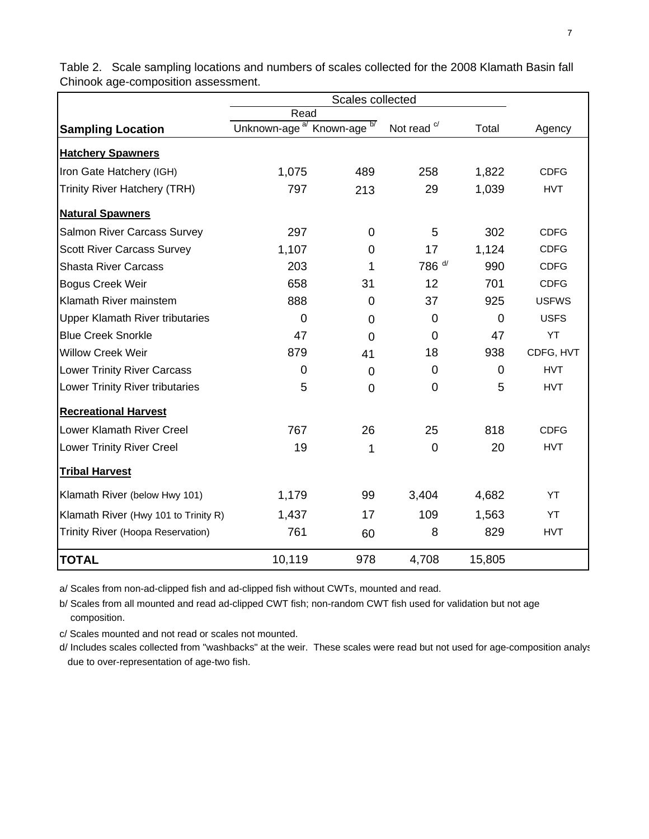|                                        | Read                                              |                |                        |        |              |
|----------------------------------------|---------------------------------------------------|----------------|------------------------|--------|--------------|
| <b>Sampling Location</b>               | Unknown-age <sup>a/</sup> Known-age <sup>b/</sup> |                | Not read <sup>c/</sup> | Total  | Agency       |
| <b>Hatchery Spawners</b>               |                                                   |                |                        |        |              |
| Iron Gate Hatchery (IGH)               | 1,075                                             | 489            | 258                    | 1,822  | <b>CDFG</b>  |
| <b>Trinity River Hatchery (TRH)</b>    | 797                                               | 213            | 29                     | 1,039  | <b>HVT</b>   |
| <b>Natural Spawners</b>                |                                                   |                |                        |        |              |
| <b>Salmon River Carcass Survey</b>     | 297                                               | 0              | 5                      | 302    | <b>CDFG</b>  |
| <b>Scott River Carcass Survey</b>      | 1,107                                             | $\overline{0}$ | 17                     | 1,124  | <b>CDFG</b>  |
| <b>Shasta River Carcass</b>            | 203                                               | 1              | 786 d/                 | 990    | <b>CDFG</b>  |
| <b>Bogus Creek Weir</b>                | 658                                               | 31             | 12                     | 701    | <b>CDFG</b>  |
| Klamath River mainstem                 | 888                                               | $\overline{0}$ | 37                     | 925    | <b>USFWS</b> |
| <b>Upper Klamath River tributaries</b> | 0                                                 | 0              | 0                      | 0      | <b>USFS</b>  |
| <b>Blue Creek Snorkle</b>              | 47                                                | $\Omega$       | $\Omega$               | 47     | YT           |
| <b>Willow Creek Weir</b>               | 879                                               | 41             | 18                     | 938    | CDFG, HVT    |
| <b>Lower Trinity River Carcass</b>     | $\Omega$                                          | 0              | 0                      | 0      | <b>HVT</b>   |
| Lower Trinity River tributaries        | 5                                                 | $\overline{0}$ | $\overline{0}$         | 5      | <b>HVT</b>   |
| <b>Recreational Harvest</b>            |                                                   |                |                        |        |              |
| Lower Klamath River Creel              | 767                                               | 26             | 25                     | 818    | <b>CDFG</b>  |
| <b>Lower Trinity River Creel</b>       | 19                                                | 1              | $\mathbf 0$            | 20     | <b>HVT</b>   |
| <b>Tribal Harvest</b>                  |                                                   |                |                        |        |              |
| Klamath River (below Hwy 101)          | 1,179                                             | 99             | 3,404                  | 4,682  | YT           |
| Klamath River (Hwy 101 to Trinity R)   | 1,437                                             | 17             | 109                    | 1,563  | YT           |
| Trinity River (Hoopa Reservation)      | 761                                               | 60             | 8                      | 829    | <b>HVT</b>   |
| <b>TOTAL</b>                           | 10,119                                            | 978            | 4,708                  | 15,805 |              |

Table 2. Scale sampling locations and numbers of scales collected for the 2008 Klamath Basin fall Chinook age-composition assessment.

a/ Scales from non-ad-clipped fish and ad-clipped fish without CWTs, mounted and read.

b/ Scales from all mounted and read ad-clipped CWT fish; non-random CWT fish used for validation but not age composition.

c/ Scales mounted and not read or scales not mounted.

d/ Includes scales collected from "washbacks" at the weir. These scales were read but not used for age-composition analys due to over-representation of age-two fish.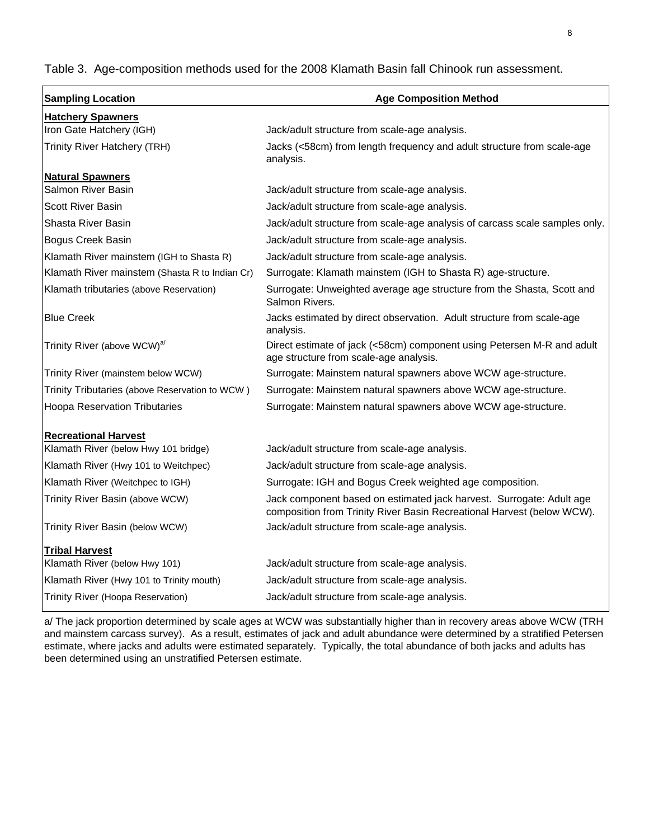Table 3. Age-composition methods used for the 2008 Klamath Basin fall Chinook run assessment.

| <b>Sampling Location</b>                       | <b>Age Composition Method</b>                                                                                                                  |  |  |  |  |  |  |  |
|------------------------------------------------|------------------------------------------------------------------------------------------------------------------------------------------------|--|--|--|--|--|--|--|
| <b>Hatchery Spawners</b>                       |                                                                                                                                                |  |  |  |  |  |  |  |
| Iron Gate Hatchery (IGH)                       | Jack/adult structure from scale-age analysis.                                                                                                  |  |  |  |  |  |  |  |
| Trinity River Hatchery (TRH)                   | Jacks (<58cm) from length frequency and adult structure from scale-age<br>analysis.                                                            |  |  |  |  |  |  |  |
| <b>Natural Spawners</b>                        |                                                                                                                                                |  |  |  |  |  |  |  |
| Salmon River Basin                             | Jack/adult structure from scale-age analysis.                                                                                                  |  |  |  |  |  |  |  |
| <b>Scott River Basin</b>                       | Jack/adult structure from scale-age analysis.                                                                                                  |  |  |  |  |  |  |  |
| Shasta River Basin                             | Jack/adult structure from scale-age analysis of carcass scale samples only.                                                                    |  |  |  |  |  |  |  |
| Bogus Creek Basin                              | Jack/adult structure from scale-age analysis.                                                                                                  |  |  |  |  |  |  |  |
| Klamath River mainstem (IGH to Shasta R)       | Jack/adult structure from scale-age analysis.                                                                                                  |  |  |  |  |  |  |  |
| Klamath River mainstem (Shasta R to Indian Cr) | Surrogate: Klamath mainstem (IGH to Shasta R) age-structure.                                                                                   |  |  |  |  |  |  |  |
| Klamath tributaries (above Reservation)        | Surrogate: Unweighted average age structure from the Shasta, Scott and<br>Salmon Rivers.                                                       |  |  |  |  |  |  |  |
| <b>Blue Creek</b>                              | Jacks estimated by direct observation. Adult structure from scale-age<br>analysis.                                                             |  |  |  |  |  |  |  |
| Trinity River (above WCW) <sup>a/</sup>        | Direct estimate of jack (<58cm) component using Petersen M-R and adult<br>age structure from scale-age analysis.                               |  |  |  |  |  |  |  |
| Trinity River (mainstem below WCW)             | Surrogate: Mainstem natural spawners above WCW age-structure.                                                                                  |  |  |  |  |  |  |  |
| Trinity Tributaries (above Reservation to WCW) | Surrogate: Mainstem natural spawners above WCW age-structure.                                                                                  |  |  |  |  |  |  |  |
| <b>Hoopa Reservation Tributaries</b>           | Surrogate: Mainstem natural spawners above WCW age-structure.                                                                                  |  |  |  |  |  |  |  |
| <b>Recreational Harvest</b>                    |                                                                                                                                                |  |  |  |  |  |  |  |
| Klamath River (below Hwy 101 bridge)           | Jack/adult structure from scale-age analysis.                                                                                                  |  |  |  |  |  |  |  |
| Klamath River (Hwy 101 to Weitchpec)           | Jack/adult structure from scale-age analysis.                                                                                                  |  |  |  |  |  |  |  |
| Klamath River (Weitchpec to IGH)               | Surrogate: IGH and Bogus Creek weighted age composition.                                                                                       |  |  |  |  |  |  |  |
| Trinity River Basin (above WCW)                | Jack component based on estimated jack harvest. Surrogate: Adult age<br>composition from Trinity River Basin Recreational Harvest (below WCW). |  |  |  |  |  |  |  |
| Trinity River Basin (below WCW)                | Jack/adult structure from scale-age analysis.                                                                                                  |  |  |  |  |  |  |  |
| <b>Tribal Harvest</b>                          |                                                                                                                                                |  |  |  |  |  |  |  |
| Klamath River (below Hwy 101)                  | Jack/adult structure from scale-age analysis.                                                                                                  |  |  |  |  |  |  |  |
| Klamath River (Hwy 101 to Trinity mouth)       | Jack/adult structure from scale-age analysis.                                                                                                  |  |  |  |  |  |  |  |
| Trinity River (Hoopa Reservation)              | Jack/adult structure from scale-age analysis.                                                                                                  |  |  |  |  |  |  |  |

a/ The jack proportion determined by scale ages at WCW was substantially higher than in recovery areas above WCW (TRH and mainstem carcass survey). As a result, estimates of jack and adult abundance were determined by a stratified Petersen estimate, where jacks and adults were estimated separately. Typically, the total abundance of both jacks and adults has been determined using an unstratified Petersen estimate.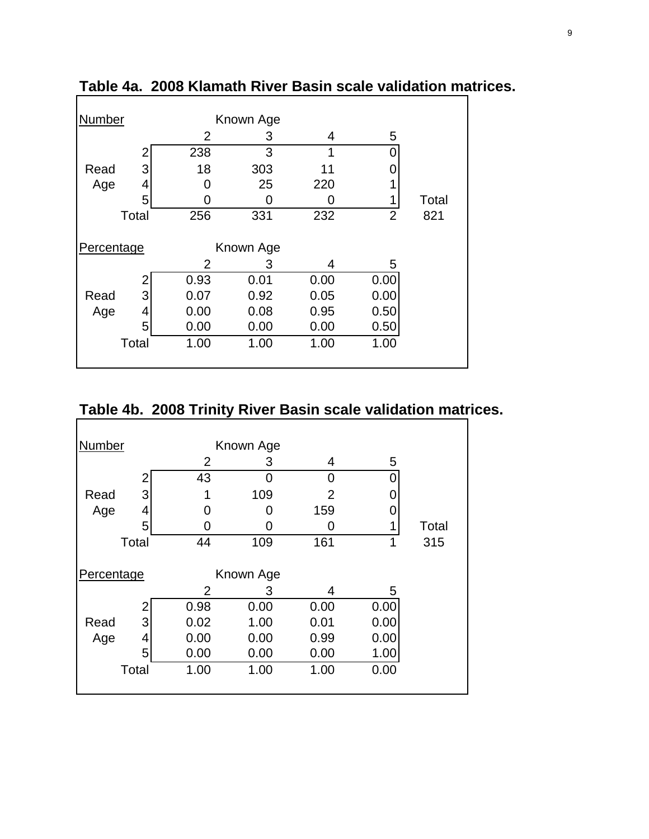| <b>Number</b> |       |      | Known Age |      |                |       |  |  |  |
|---------------|-------|------|-----------|------|----------------|-------|--|--|--|
|               |       | 2    | З         | 4    | 5              |       |  |  |  |
|               |       | 238  | 3         | 1    |                |       |  |  |  |
| Read          | 3     | 18   | 303       | 11   |                |       |  |  |  |
| Age           | 4     | 0    | 25        | 220  |                |       |  |  |  |
|               | 5     | O    | O         |      | 1              | Total |  |  |  |
|               | Total | 256  | 331       | 232  | $\overline{2}$ | 821   |  |  |  |
|               |       |      |           |      |                |       |  |  |  |
| Percentage    |       |      | Known Age |      |                |       |  |  |  |
|               |       | 2    | 3         | 4    | 5              |       |  |  |  |
|               |       | 0.93 | 0.01      | 0.00 | 0.00           |       |  |  |  |
| Read          | 3     | 0.07 | 0.92      | 0.05 | 0.00           |       |  |  |  |
| Age           | 4     | 0.00 | 0.08      | 0.95 | 0.50           |       |  |  |  |
|               | 5     | 0.00 | 0.00      | 0.00 | 0.50           |       |  |  |  |
|               | Total | 1.00 | 1.00      | 1.00 | 1.00           |       |  |  |  |
|               |       |      |           |      |                |       |  |  |  |

**Table 4a. 2008 Klamath River Basin scale validation matrices.**

# **Table 4b. 2008 Trinity River Basin scale validation matrices.**

| Number     |       |      | Known Age |      |      |       |
|------------|-------|------|-----------|------|------|-------|
|            |       | 2    | 3         | 4    | 5    |       |
|            | 2     | 43   | 0         | 0    | 0    |       |
| Read       | 3     |      | 109       | 2    |      |       |
| Age        | 4     | 0    | ი         | 159  |      |       |
|            | 5     | 0    |           | O    | 1    | Total |
| Total      |       | 44   | 109       | 161  | 1    | 315   |
| Percentage |       |      | Known Age |      |      |       |
|            |       | 2    | З         | 4    | 5    |       |
|            | 2     | 0.98 | 0.00      | 0.00 | 0.00 |       |
| Read       | 3     | 0.02 | 1.00      | 0.01 | 0.00 |       |
| Age        | 4     | 0.00 | 0.00      | 0.99 | 0.00 |       |
|            | 5     | 0.00 | 0.00      | 0.00 | 1.00 |       |
|            | Total | 1.00 | 1.00      | 1.00 | 0.00 |       |
|            |       |      |           |      |      |       |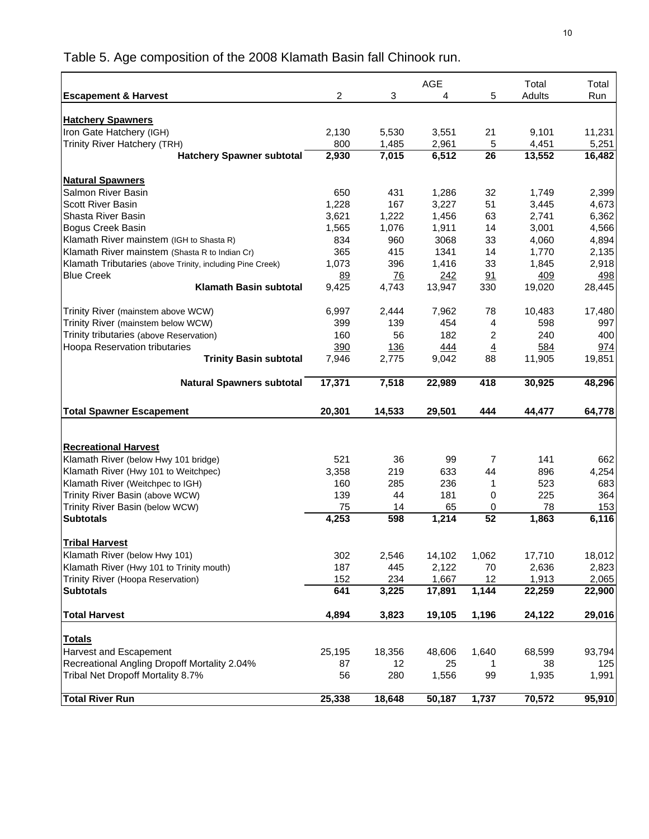Table 5. Age composition of the 2008 Klamath Basin fall Chinook run.

|                                                           |                |                 | AGE          |                      | Total  | Total  |
|-----------------------------------------------------------|----------------|-----------------|--------------|----------------------|--------|--------|
| <b>Escapement &amp; Harvest</b>                           | $\overline{2}$ | 3               | 4            | 5                    | Adults | Run    |
|                                                           |                |                 |              |                      |        |        |
| <b>Hatchery Spawners</b>                                  |                |                 |              |                      |        |        |
| Iron Gate Hatchery (IGH)                                  | 2,130          | 5,530           | 3,551        | 21                   | 9,101  | 11,231 |
| Trinity River Hatchery (TRH)                              | 800            | 1,485           | 2,961        | 5                    | 4,451  | 5,251  |
| <b>Hatchery Spawner subtotal</b>                          | 2,930          | 7,015           | 6,512        | $\overline{26}$      | 13,552 | 16,482 |
|                                                           |                |                 |              |                      |        |        |
| <b>Natural Spawners</b>                                   |                |                 |              |                      |        |        |
| Salmon River Basin                                        | 650            | 431             | 1,286        | 32                   | 1,749  | 2,399  |
| <b>Scott River Basin</b><br>Shasta River Basin            | 1,228          | 167             | 3,227        | 51                   | 3,445  | 4,673  |
|                                                           | 3,621          | 1,222           | 1,456        | 63                   | 2,741  | 6,362  |
| Bogus Creek Basin                                         | 1,565          | 1,076           | 1,911        | 14                   | 3,001  | 4,566  |
| Klamath River mainstem (IGH to Shasta R)                  | 834            | 960             | 3068         | 33                   | 4,060  | 4,894  |
| Klamath River mainstem (Shasta R to Indian Cr)            | 365            | 415             | 1341         | 14                   | 1,770  | 2,135  |
| Klamath Tributaries (above Trinity, including Pine Creek) | 1,073          | 396             | 1,416        | 33                   | 1,845  | 2,918  |
| <b>Blue Creek</b><br><b>Klamath Basin subtotal</b>        | 89             | $\overline{76}$ | 242          | 91                   | 409    | 498    |
|                                                           | 9,425          | 4,743           | 13,947       | 330                  | 19,020 | 28,445 |
| Trinity River (mainstem above WCW)                        | 6,997          | 2,444           | 7,962        | 78                   | 10,483 | 17,480 |
| Trinity River (mainstem below WCW)                        | 399            | 139             | 454          | 4                    | 598    | 997    |
| Trinity tributaries (above Reservation)                   | 160            | 56              | 182          | 2                    | 240    | 400    |
| Hoopa Reservation tributaries                             | 390            | 136             |              |                      | 584    | 974    |
| <b>Trinity Basin subtotal</b>                             | 7,946          | 2,775           | 444<br>9,042 | $\overline{4}$<br>88 | 11,905 | 19,851 |
|                                                           |                |                 |              |                      |        |        |
| <b>Natural Spawners subtotal</b>                          | 17,371         | 7,518           | 22,989       | 418                  | 30,925 | 48,296 |
| <b>Total Spawner Escapement</b>                           | 20,301         | 14,533          | 29,501       | 444                  | 44,477 | 64,778 |
|                                                           |                |                 |              |                      |        |        |
|                                                           |                |                 |              |                      |        |        |
| <b>Recreational Harvest</b>                               |                |                 |              |                      |        |        |
| Klamath River (below Hwy 101 bridge)                      | 521            | 36              | 99           | 7                    | 141    | 662    |
| Klamath River (Hwy 101 to Weitchpec)                      | 3,358          | 219             | 633          | 44                   | 896    | 4,254  |
| Klamath River (Weitchpec to IGH)                          | 160            | 285             | 236          | 1                    | 523    | 683    |
| Trinity River Basin (above WCW)                           | 139            | 44              | 181          | 0                    | 225    | 364    |
| Trinity River Basin (below WCW)                           | 75             | 14              | 65           | 0                    | 78     | 153    |
| <b>Subtotals</b>                                          | 4,253          | 598             | 1,214        | $\overline{52}$      | 1,863  | 6,116  |
|                                                           |                |                 |              |                      |        |        |
| <b>Tribal Harvest</b>                                     |                |                 |              |                      |        |        |
| Klamath River (below Hwy 101)                             | 302            | 2,546           | 14,102       | 1,062                | 17,710 | 18,012 |
| Klamath River (Hwy 101 to Trinity mouth)                  | 187            | 445             | 2,122        | 70                   | 2,636  | 2,823  |
| Trinity River (Hoopa Reservation)                         | 152            | 234             | 1,667        | 12                   | 1,913  | 2,065  |
| <b>Subtotals</b>                                          | 641            | 3,225           | 17,891       | 1,144                | 22,259 | 22,900 |
| <b>Total Harvest</b>                                      | 4,894          | 3,823           | 19,105       | 1,196                | 24,122 | 29,016 |
|                                                           |                |                 |              |                      |        |        |
| <b>Totals</b>                                             |                |                 |              |                      |        |        |
| Harvest and Escapement                                    | 25,195         | 18,356          | 48,606       | 1,640                | 68,599 | 93,794 |
| Recreational Angling Dropoff Mortality 2.04%              | 87             | 12              | 25           | 1                    | 38     | 125    |
| Tribal Net Dropoff Mortality 8.7%                         | 56             | 280             | 1,556        | 99                   | 1,935  | 1,991  |
| <b>Total River Run</b>                                    | 25,338         | 18,648          |              | 1,737                | 70,572 | 95,910 |
|                                                           |                |                 | 50,187       |                      |        |        |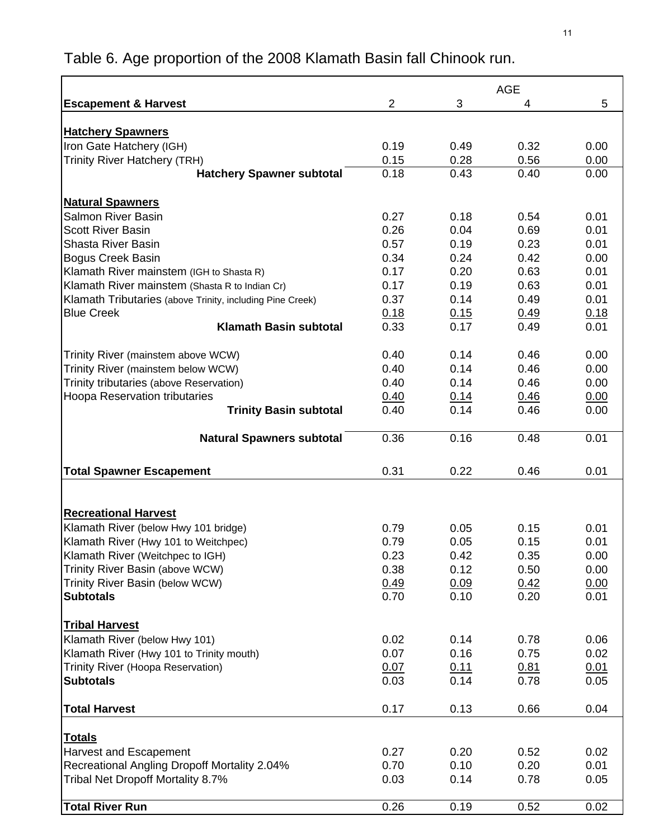|                                                           |                |              | <b>AGE</b>   |      |
|-----------------------------------------------------------|----------------|--------------|--------------|------|
| <b>Escapement &amp; Harvest</b>                           | $\overline{2}$ | 3            | 4            | 5    |
|                                                           |                |              |              |      |
| <b>Hatchery Spawners</b>                                  |                |              |              |      |
| Iron Gate Hatchery (IGH)                                  | 0.19           | 0.49         | 0.32         | 0.00 |
| <b>Trinity River Hatchery (TRH)</b>                       | 0.15           | 0.28         | 0.56         | 0.00 |
| <b>Hatchery Spawner subtotal</b>                          | 0.18           | 0.43         | 0.40         | 0.00 |
| <b>Natural Spawners</b>                                   |                |              |              |      |
| <b>Salmon River Basin</b>                                 | 0.27           | 0.18         | 0.54         | 0.01 |
| <b>Scott River Basin</b>                                  | 0.26           | 0.04         | 0.69         | 0.01 |
| <b>Shasta River Basin</b>                                 | 0.57           | 0.19         | 0.23         | 0.01 |
| <b>Bogus Creek Basin</b>                                  | 0.34           | 0.24         | 0.42         | 0.00 |
| Klamath River mainstem (IGH to Shasta R)                  | 0.17           | 0.20         | 0.63         | 0.01 |
| Klamath River mainstem (Shasta R to Indian Cr)            | 0.17           | 0.19         | 0.63         | 0.01 |
| Klamath Tributaries (above Trinity, including Pine Creek) | 0.37           | 0.14         | 0.49         | 0.01 |
| <b>Blue Creek</b>                                         | 0.18           | 0.15         | 0.49         | 0.18 |
| <b>Klamath Basin subtotal</b>                             | 0.33           | 0.17         | 0.49         | 0.01 |
|                                                           |                |              |              |      |
| Trinity River (mainstem above WCW)                        | 0.40           | 0.14         | 0.46         | 0.00 |
| Trinity River (mainstem below WCW)                        | 0.40           | 0.14         | 0.46         | 0.00 |
| Trinity tributaries (above Reservation)                   | 0.40           | 0.14         | 0.46         | 0.00 |
| Hoopa Reservation tributaries                             | 0.40           | 0.14         | 0.46         | 0.00 |
| <b>Trinity Basin subtotal</b>                             | 0.40           | 0.14         | 0.46         | 0.00 |
| <b>Natural Spawners subtotal</b>                          | 0.36           | 0.16         | 0.48         | 0.01 |
|                                                           |                |              |              |      |
| <b>Total Spawner Escapement</b>                           | 0.31           | 0.22         | 0.46         | 0.01 |
|                                                           |                |              |              |      |
| <b>Recreational Harvest</b>                               |                |              |              |      |
| Klamath River (below Hwy 101 bridge)                      | 0.79           | 0.05         | 0.15         | 0.01 |
| Klamath River (Hwy 101 to Weitchpec)                      | 0.79           | 0.05         | 0.15         | 0.01 |
| Klamath River (Weitchpec to IGH)                          | 0.23           | 0.42         | 0.35         | 0.00 |
| Trinity River Basin (above WCW)                           | 0.38           | 0.12         | 0.50         | 0.00 |
| Trinity River Basin (below WCW)                           | 0.49           | 0.09         | 0.42         | 0.00 |
| <b>Subtotals</b>                                          | 0.70           | 0.10         | 0.20         | 0.01 |
|                                                           |                |              |              |      |
| <b>Tribal Harvest</b>                                     |                |              |              |      |
| Klamath River (below Hwy 101)                             | 0.02           | 0.14         | 0.78         | 0.06 |
| Klamath River (Hwy 101 to Trinity mouth)                  | 0.07           | 0.16         | 0.75         | 0.02 |
| Trinity River (Hoopa Reservation)                         | 0.07           | 0.11         | 0.81         | 0.01 |
| <b>Subtotals</b>                                          | 0.03           | 0.14         | 0.78         | 0.05 |
| <b>Total Harvest</b>                                      | 0.17           | 0.13         | 0.66         | 0.04 |
|                                                           |                |              |              |      |
| <b>Totals</b>                                             |                |              |              |      |
| Harvest and Escapement                                    | 0.27           | 0.20         | 0.52         | 0.02 |
| Recreational Angling Dropoff Mortality 2.04%              | 0.70<br>0.03   | 0.10<br>0.14 | 0.20<br>0.78 | 0.01 |
| Tribal Net Dropoff Mortality 8.7%                         |                |              |              | 0.05 |
| Total River Run                                           | 0.26           | 0.19         | 0.52         | 0.02 |

# Table 6. Age proportion of the 2008 Klamath Basin fall Chinook run.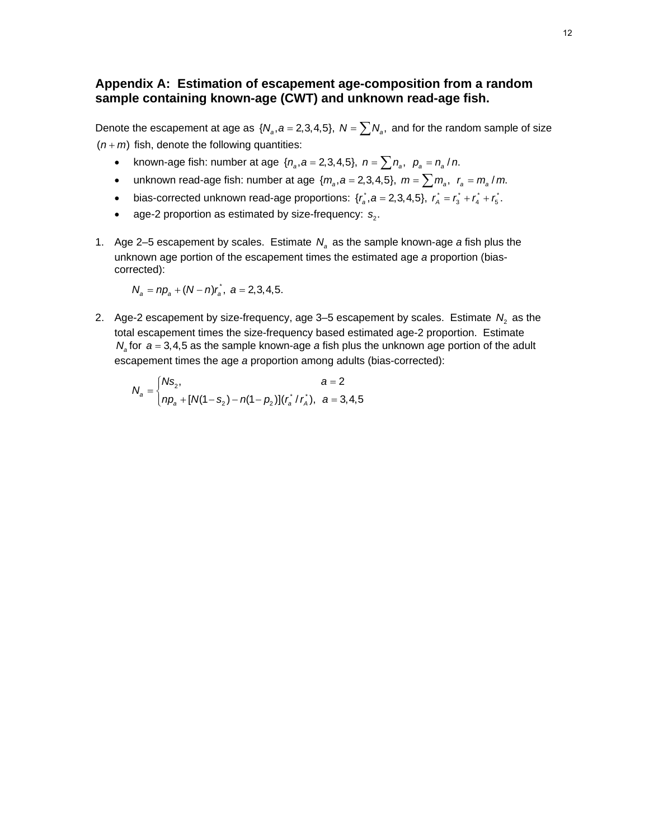# **Appendix A: Estimation of escapement age-composition from a random sample containing known-age (CWT) and unknown read-age fish.**

Denote the escapement at age as  $\{N_a, a = 2,3,4,5\}$ ,  $N = \sum N_a$ , and for the random sample of size  $(n + m)$  fish, denote the following quantities:

- known-age fish: number at age  $\{n_a, a = 2, 3, 4, 5\}$ ,  $n = \sum n_a$ ,  $p_a = n_a / n$ .
- unknown read-age fish: number at age  $\{m_a, a = 2, 3, 4, 5\}$ ,  $m = \sum m_a$ ,  $r_a = m_a / m$ .
- bias-corrected unknown read-age proportions:  $\{r_a, a = 2,3,4,5\}$ ,  $r_a = r_a^* + r_a^* + r_b^*$ .
- age-2 proportion as estimated by size-frequency:  $s_2$ .
- 1. Age 2–5 escapement by scales. Estimate  $N_a$  as the sample known-age *a* fish plus the unknown age portion of the escapement times the estimated age *a* proportion (biascorrected):

$$
N_a = np_a + (N - n)r_a^*, \ \ a = 2,3,4,5.
$$

2. Age-2 escapement by size-frequency, age  $3-5$  escapement by scales. Estimate  $N<sub>2</sub>$  as the total escapement times the size-frequency based estimated age-2 proportion. Estimate *Na* for *a* = 3,4,5 as the sample known-age *a* fish plus the unknown age portion of the adult escapement times the age *a* proportion among adults (bias-corrected):

$$
N_a = \begin{cases} N s_2, & a = 2 \\ np_a + [N(1 - s_2) - n(1 - p_2)](r_a \cdot r_a), & a = 3, 4, 5 \end{cases}
$$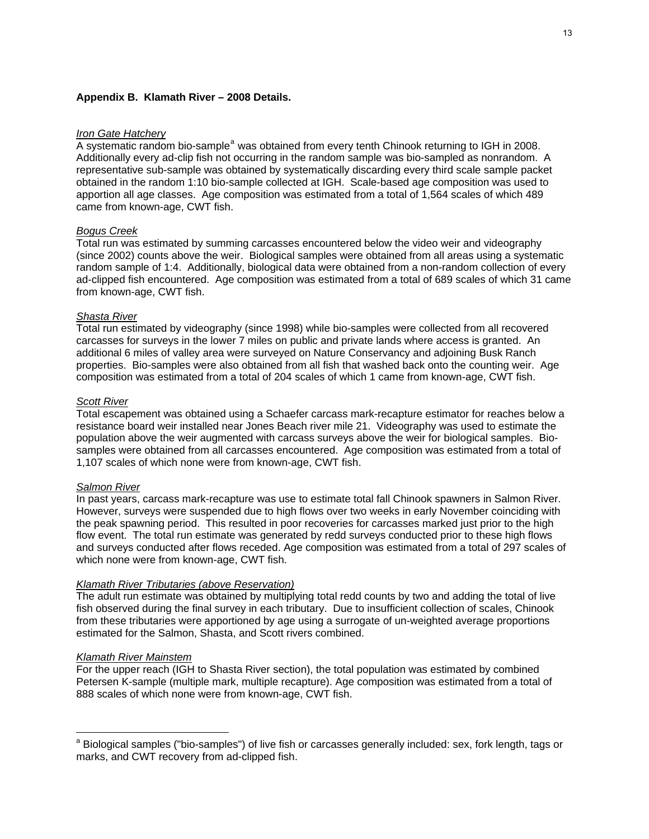#### **Appendix B. Klamath River – 2008 Details.**

#### *Iron Gate Hatchery*

A system[a](#page-12-0)tic random bio-sample<sup>a</sup> was obtained from every tenth Chinook returning to IGH in 2008. Additionally every ad-clip fish not occurring in the random sample was bio-sampled as nonrandom. A representative sub-sample was obtained by systematically discarding every third scale sample packet obtained in the random 1:10 bio-sample collected at IGH. Scale-based age composition was used to apportion all age classes. Age composition was estimated from a total of 1,564 scales of which 489 came from known-age, CWT fish.

#### *Bogus Creek*

Total run was estimated by summing carcasses encountered below the video weir and videography (since 2002) counts above the weir. Biological samples were obtained from all areas using a systematic random sample of 1:4. Additionally, biological data were obtained from a non-random collection of every ad-clipped fish encountered. Age composition was estimated from a total of 689 scales of which 31 came from known-age, CWT fish.

#### *Shasta River*

Total run estimated by videography (since 1998) while bio-samples were collected from all recovered carcasses for surveys in the lower 7 miles on public and private lands where access is granted. An additional 6 miles of valley area were surveyed on Nature Conservancy and adjoining Busk Ranch properties. Bio-samples were also obtained from all fish that washed back onto the counting weir. Age composition was estimated from a total of 204 scales of which 1 came from known-age, CWT fish.

#### *Scott River*

Total escapement was obtained using a Schaefer carcass mark-recapture estimator for reaches below a resistance board weir installed near Jones Beach river mile 21. Videography was used to estimate the population above the weir augmented with carcass surveys above the weir for biological samples. Biosamples were obtained from all carcasses encountered. Age composition was estimated from a total of 1,107 scales of which none were from known-age, CWT fish.

#### *Salmon River*

In past years, carcass mark-recapture was use to estimate total fall Chinook spawners in Salmon River. However, surveys were suspended due to high flows over two weeks in early November coinciding with the peak spawning period. This resulted in poor recoveries for carcasses marked just prior to the high flow event. The total run estimate was generated by redd surveys conducted prior to these high flows and surveys conducted after flows receded. Age composition was estimated from a total of 297 scales of which none were from known-age, CWT fish.

#### *Klamath River Tributaries (above Reservation)*

The adult run estimate was obtained by multiplying total redd counts by two and adding the total of live fish observed during the final survey in each tributary. Due to insufficient collection of scales, Chinook from these tributaries were apportioned by age using a surrogate of un-weighted average proportions estimated for the Salmon, Shasta, and Scott rivers combined.

#### *Klamath River Mainstem*

 $\overline{a}$ 

For the upper reach (IGH to Shasta River section), the total population was estimated by combined Petersen K-sample (multiple mark, multiple recapture). Age composition was estimated from a total of 888 scales of which none were from known-age, CWT fish.

<span id="page-12-0"></span><sup>&</sup>lt;sup>a</sup> Biological samples ("bio-samples") of live fish or carcasses generally included: sex, fork length, tags or marks, and CWT recovery from ad-clipped fish.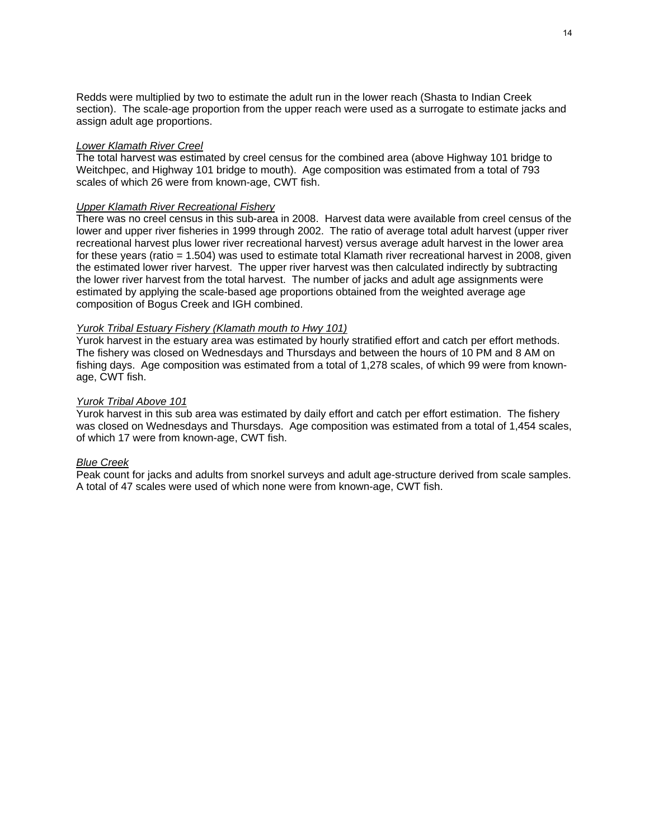Redds were multiplied by two to estimate the adult run in the lower reach (Shasta to Indian Creek section). The scale-age proportion from the upper reach were used as a surrogate to estimate jacks and assign adult age proportions.

#### *Lower Klamath River Creel*

The total harvest was estimated by creel census for the combined area (above Highway 101 bridge to Weitchpec, and Highway 101 bridge to mouth). Age composition was estimated from a total of 793 scales of which 26 were from known-age, CWT fish.

### *Upper Klamath River Recreational Fishery*

There was no creel census in this sub-area in 2008. Harvest data were available from creel census of the lower and upper river fisheries in 1999 through 2002. The ratio of average total adult harvest (upper river recreational harvest plus lower river recreational harvest) versus average adult harvest in the lower area for these years (ratio = 1.504) was used to estimate total Klamath river recreational harvest in 2008, given the estimated lower river harvest. The upper river harvest was then calculated indirectly by subtracting the lower river harvest from the total harvest. The number of jacks and adult age assignments were estimated by applying the scale-based age proportions obtained from the weighted average age composition of Bogus Creek and IGH combined.

#### *Yurok Tribal Estuary Fishery (Klamath mouth to Hwy 101)*

Yurok harvest in the estuary area was estimated by hourly stratified effort and catch per effort methods. The fishery was closed on Wednesdays and Thursdays and between the hours of 10 PM and 8 AM on fishing days. Age composition was estimated from a total of 1,278 scales, of which 99 were from knownage, CWT fish.

#### *Yurok Tribal Above 101*

Yurok harvest in this sub area was estimated by daily effort and catch per effort estimation. The fishery was closed on Wednesdays and Thursdays. Age composition was estimated from a total of 1,454 scales, of which 17 were from known-age, CWT fish.

#### *Blue Creek*

Peak count for jacks and adults from snorkel surveys and adult age-structure derived from scale samples. A total of 47 scales were used of which none were from known-age, CWT fish.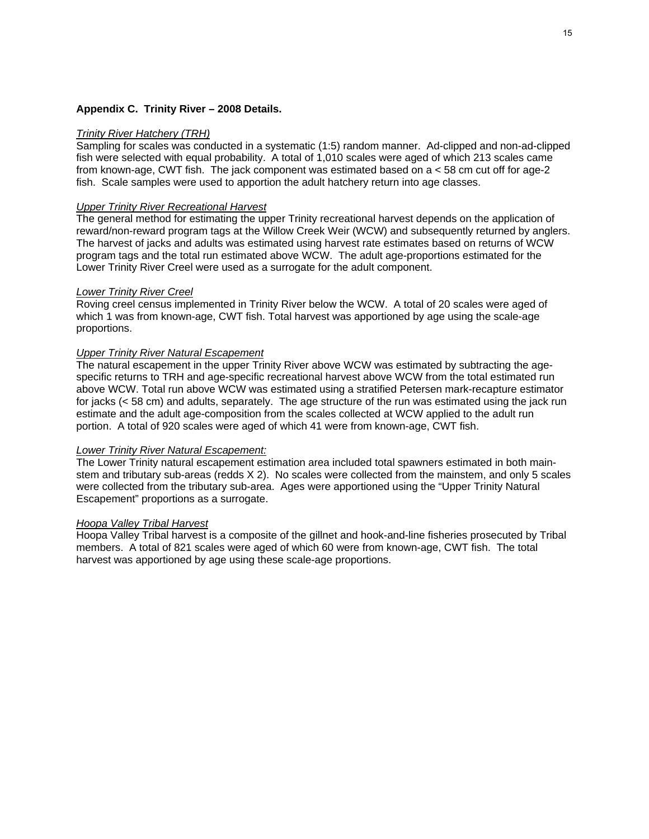#### **Appendix C. Trinity River – 2008 Details.**

#### *Trinity River Hatchery (TRH)*

Sampling for scales was conducted in a systematic (1:5) random manner. Ad-clipped and non-ad-clipped fish were selected with equal probability. A total of 1,010 scales were aged of which 213 scales came from known-age, CWT fish. The jack component was estimated based on a < 58 cm cut off for age-2 fish. Scale samples were used to apportion the adult hatchery return into age classes.

#### *Upper Trinity River Recreational Harvest*

The general method for estimating the upper Trinity recreational harvest depends on the application of reward/non-reward program tags at the Willow Creek Weir (WCW) and subsequently returned by anglers. The harvest of jacks and adults was estimated using harvest rate estimates based on returns of WCW program tags and the total run estimated above WCW. The adult age-proportions estimated for the Lower Trinity River Creel were used as a surrogate for the adult component.

#### *Lower Trinity River Creel*

Roving creel census implemented in Trinity River below the WCW. A total of 20 scales were aged of which 1 was from known-age, CWT fish. Total harvest was apportioned by age using the scale-age proportions.

#### *Upper Trinity River Natural Escapement*

The natural escapement in the upper Trinity River above WCW was estimated by subtracting the agespecific returns to TRH and age-specific recreational harvest above WCW from the total estimated run above WCW. Total run above WCW was estimated using a stratified Petersen mark-recapture estimator for jacks (< 58 cm) and adults, separately. The age structure of the run was estimated using the jack run estimate and the adult age-composition from the scales collected at WCW applied to the adult run portion. A total of 920 scales were aged of which 41 were from known-age, CWT fish.

#### *Lower Trinity River Natural Escapement:*

The Lower Trinity natural escapement estimation area included total spawners estimated in both mainstem and tributary sub-areas (redds X 2). No scales were collected from the mainstem, and only 5 scales were collected from the tributary sub-area. Ages were apportioned using the "Upper Trinity Natural Escapement" proportions as a surrogate.

#### *Hoopa Valley Tribal Harvest*

Hoopa Valley Tribal harvest is a composite of the gillnet and hook-and-line fisheries prosecuted by Tribal members. A total of 821 scales were aged of which 60 were from known-age, CWT fish. The total harvest was apportioned by age using these scale-age proportions.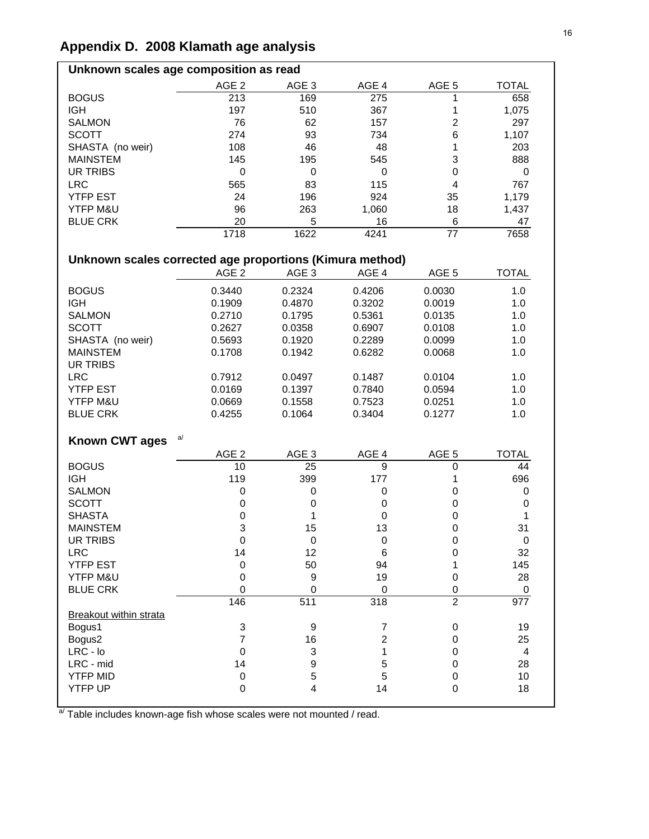# **Appendix D. 2008 Klamath age analysis**

| Unknown scales age composition as read                   |                  |                  |                |                         |                  |  |  |  |  |  |
|----------------------------------------------------------|------------------|------------------|----------------|-------------------------|------------------|--|--|--|--|--|
|                                                          | $AGE$ 2          | AGE 3            | AGE 4          | AGE 5                   | <b>TOTAL</b>     |  |  |  |  |  |
| <b>BOGUS</b>                                             | 213              | 169              | 275            | 1                       | 658              |  |  |  |  |  |
| <b>IGH</b>                                               | 197              | 510              | 367            | 1                       | 1,075            |  |  |  |  |  |
| <b>SALMON</b>                                            | 76               | 62               | 157            | $\overline{\mathbf{c}}$ | 297              |  |  |  |  |  |
| <b>SCOTT</b>                                             | 274              | 93               | 734            | 6                       | 1,107            |  |  |  |  |  |
| SHASTA (no weir)                                         | 108              | 46               | 48             | 1                       | 203              |  |  |  |  |  |
| <b>MAINSTEM</b>                                          | 145              | 195              | 545            | 3                       | 888              |  |  |  |  |  |
| <b>UR TRIBS</b>                                          | $\boldsymbol{0}$ | 0                | 0              | 0                       | 0                |  |  |  |  |  |
| <b>LRC</b>                                               | 565              | 83               | 115            | 4                       | 767              |  |  |  |  |  |
| <b>YTFP EST</b>                                          | 24               | 196              | 924            | 35                      | 1,179            |  |  |  |  |  |
| YTFP M&U                                                 | 96               | 263              | 1,060          | 18                      | 1,437            |  |  |  |  |  |
| <b>BLUE CRK</b>                                          | 20               | 5                | 16             | 6                       | 47               |  |  |  |  |  |
|                                                          | 1718             | 1622             | 4241           | 77                      | 7658             |  |  |  |  |  |
|                                                          |                  |                  |                |                         |                  |  |  |  |  |  |
| Unknown scales corrected age proportions (Kimura method) |                  |                  |                |                         |                  |  |  |  |  |  |
|                                                          | AGE <sub>2</sub> | AGE <sub>3</sub> | AGE 4          | AGE 5                   | <b>TOTAL</b>     |  |  |  |  |  |
| <b>BOGUS</b>                                             | 0.3440           | 0.2324           | 0.4206         | 0.0030                  | 1.0              |  |  |  |  |  |
| <b>IGH</b>                                               | 0.1909           | 0.4870           | 0.3202         | 0.0019                  | 1.0              |  |  |  |  |  |
| <b>SALMON</b>                                            | 0.2710           | 0.1795           | 0.5361         | 0.0135                  | 1.0              |  |  |  |  |  |
| <b>SCOTT</b>                                             | 0.2627           | 0.0358           | 0.6907         | 0.0108                  | 1.0              |  |  |  |  |  |
| SHASTA (no weir)                                         | 0.5693           | 0.1920           | 0.2289         | 0.0099                  | 1.0              |  |  |  |  |  |
| <b>MAINSTEM</b>                                          | 0.1708           | 0.1942           | 0.6282         | 0.0068                  | 1.0              |  |  |  |  |  |
| <b>UR TRIBS</b>                                          |                  |                  |                |                         |                  |  |  |  |  |  |
| <b>LRC</b>                                               | 0.7912           | 0.0497           | 0.1487         | 0.0104                  | 1.0              |  |  |  |  |  |
| <b>YTFP EST</b>                                          | 0.0169           | 0.1397           | 0.7840         | 0.0594                  | 1.0              |  |  |  |  |  |
| YTFP M&U                                                 | 0.0669           | 0.1558           | 0.7523         | 0.0251                  | 1.0              |  |  |  |  |  |
| <b>BLUE CRK</b>                                          | 0.4255           | 0.1064           | 0.3404         | 0.1277                  | 1.0              |  |  |  |  |  |
|                                                          |                  |                  |                |                         |                  |  |  |  |  |  |
| <b>Known CWT ages</b>                                    | a/               |                  |                |                         |                  |  |  |  |  |  |
|                                                          | AGE <sub>2</sub> | AGE 3            | AGE 4          | AGE <sub>5</sub>        | <b>TOTAL</b>     |  |  |  |  |  |
| <b>BOGUS</b>                                             | 10               | 25               | 9              | 0                       | 44               |  |  |  |  |  |
| <b>IGH</b>                                               | 119              | 399              | 177            | 1                       | 696              |  |  |  |  |  |
| <b>SALMON</b>                                            | 0                | 0                | $\pmb{0}$      | 0                       | 0                |  |  |  |  |  |
| <b>SCOTT</b>                                             | 0                | 0                | 0              | 0                       | 0                |  |  |  |  |  |
| <b>SHASTA</b>                                            | 0                | 1                | 0              | 0                       | 1                |  |  |  |  |  |
| <b>MAINSTEM</b>                                          | 3                | 15               | 13             | 0                       | 31               |  |  |  |  |  |
| <b>UR TRIBS</b>                                          | 0                | 0                | 0              | 0                       | $\pmb{0}$        |  |  |  |  |  |
| <b>LRC</b>                                               | 14               | 12               | 6              | 0                       | 32               |  |  |  |  |  |
| YTFP EST                                                 | $\boldsymbol{0}$ | 50               | 94             | 1                       | 145              |  |  |  |  |  |
| YTFP M&U                                                 | $\mathbf 0$      | 9                | 19             | 0                       | 28               |  |  |  |  |  |
| <b>BLUE CRK</b>                                          | 0                | 0                | 0              | 0                       | 0                |  |  |  |  |  |
|                                                          | 146              | 511              | 318            | $\overline{2}$          | $\overline{977}$ |  |  |  |  |  |
| Breakout within strata                                   |                  |                  |                |                         |                  |  |  |  |  |  |
| Bogus1                                                   | 3                | 9                | 7              | 0                       | 19               |  |  |  |  |  |
| Bogus2                                                   | $\overline{7}$   | 16               | $\overline{c}$ | 0                       | 25               |  |  |  |  |  |
| $LRC - Io$                                               | $\pmb{0}$        | 3                | 1              | 0                       | 4                |  |  |  |  |  |
| LRC - mid                                                | 14               | 9                | 5              | 0                       | 28               |  |  |  |  |  |
| <b>YTFP MID</b>                                          | $\boldsymbol{0}$ | 5                | 5              | 0                       | 10               |  |  |  |  |  |
| YTFP UP                                                  | $\mathbf 0$      | 4                | 14             | 0                       | 18               |  |  |  |  |  |

a/ Table includes known-age fish whose scales were not mounted / read.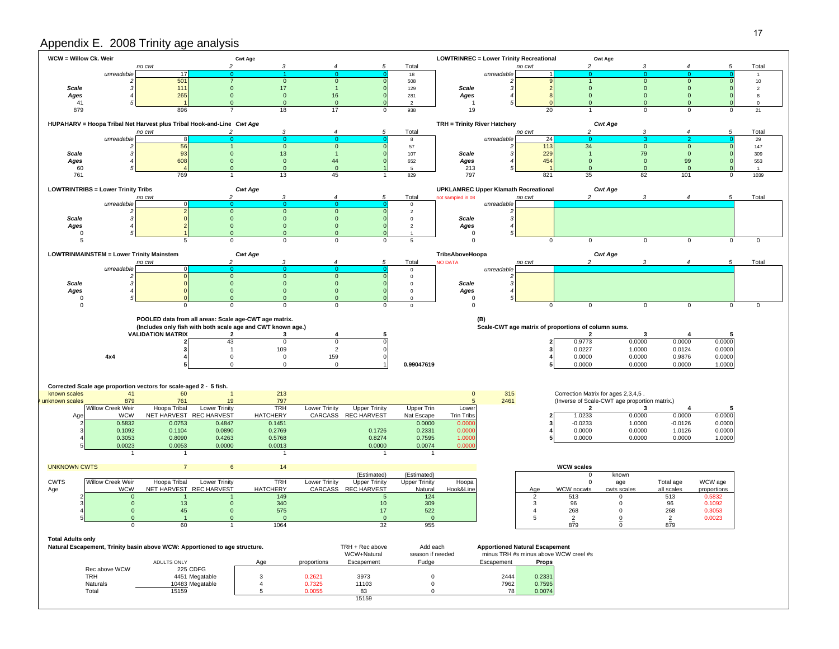# Appendix E. 2008 Trinity age analysis

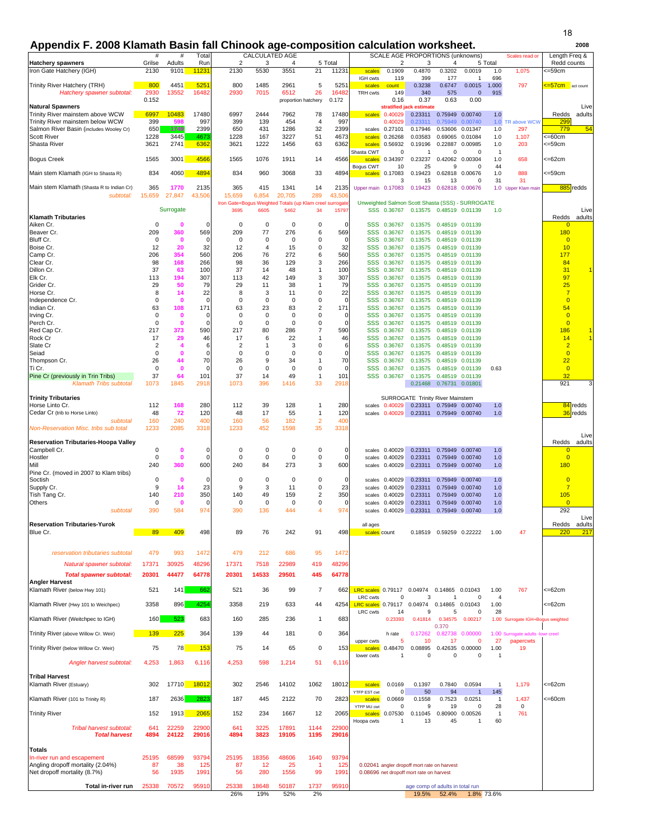### **Appendix F. 2008 Klamath Basin fall Chinook age-composition calculation worksheet. <sup>2008</sup>**

|                                                                      | #                       | #                       | Total              |                                                                 | CALCULATED AGE    |                             |                                |                  |                                            |                           | SCALE AGE PROPORTIONS (unknowns)                 |                           |                                    |                        | Scales read or                    | Length Freq &                    |
|----------------------------------------------------------------------|-------------------------|-------------------------|--------------------|-----------------------------------------------------------------|-------------------|-----------------------------|--------------------------------|------------------|--------------------------------------------|---------------------------|--------------------------------------------------|---------------------------|------------------------------------|------------------------|-----------------------------------|----------------------------------|
| <b>Hatchery spawners</b><br>Iron Gate Hatchery (IGH)                 | Grilse<br>2130          | Adults<br>9101          | Run                | $\overline{2}$<br>2130                                          | 3<br>5530         | 4<br>3551                   | 21                             | 5 Total<br>11231 |                                            | 2                         | 3<br>0.4870                                      | 4<br>0.3202               | 0.0019                             | 5 Total<br>1.0         |                                   | Redd counts<br><=59cm            |
|                                                                      |                         |                         | 11231              |                                                                 |                   |                             |                                |                  | scales<br>IGH cwts                         | 0.1909<br>119             | 399                                              | 177                       | -1                                 | 696                    | 1,075                             |                                  |
| Trinity River Hatchery (TRH)                                         | 800                     | 4451                    | 525                | 800                                                             | 1485              | 2961                        | 5                              | 525              | scales                                     | count                     | 0.3238                                           | 0.6747                    | 0.0015                             | 1.000                  | 797                               | =57cm act count                  |
| Hatchery spawner subtotal:                                           | 2930<br>0.152           | 13552                   | 16482              | 2930                                                            | 7015              | 6512<br>proportion hatchery | 26                             | 1648<br>0.172    | TRH cwts                                   | 149<br>0.16               | 340<br>0.37                                      | 575<br>0.63               | $\mathbf 0$<br>0.00                | 915                    |                                   |                                  |
| <b>Natural Spawners</b>                                              |                         |                         |                    |                                                                 |                   |                             |                                |                  |                                            |                           | stratified jack estimate                         |                           |                                    |                        |                                   | Live                             |
| Trinity River mainstem above WCW<br>Trinity River mainstem below WCW | 6997<br>399             | 10483<br>598            | 17480<br>997       | 6997<br>399                                                     | 2444<br>139       | 7962<br>454                 | 78<br>$\overline{4}$           | 17480<br>997     |                                            | scales 0.40029<br>0.40029 | 0.23311<br>0.23311                               | 0.75949<br>0.75949        | 0.00740<br>0.00740                 | 1.0<br>1.0             | TR above WCW                      | Redds<br>adults<br>299           |
| Salmon River Basin (includes Wooley Cr)                              | 650                     | 1749                    | 2399               | 650                                                             | 431               | 1286                        | 32                             | 2399             | scales                                     | 0.27101                   | 0.17946                                          | 0.53606                   | 0.01347                            | 1.0                    | 297                               | 54<br>779                        |
| <b>Scott River</b>                                                   | 1228                    | 3445                    | 467                | 1228                                                            | 167               | 3227                        | 51                             | 4673             | scales                                     | 0.26268                   | 0.03583                                          | 0.69065                   | 0.01084                            | 1.0                    | 1,107                             | <=60cm                           |
| Shasta River                                                         | 3621                    | 2741                    | 6362               | 3621                                                            | 1222              | 1456                        | 63                             | 6362             | scales<br>Shasta CWT                       | 0.56932<br>0              | 0.19196<br>-1                                    | 0.22887<br>0              | 0.00985<br>$\Omega$                | 1.0<br>$\overline{1}$  | 203                               | <=59cm                           |
| <b>Bogus Creek</b>                                                   | 1565                    | 3001                    | 4566               | 1565                                                            | 1076              | 1911                        | 14                             | 4566             | scales                                     | 0.34397                   | 0.23237                                          |                           | 0.42062 0.00304                    | 1.0                    | 658                               | <=62cm                           |
|                                                                      |                         |                         |                    |                                                                 |                   |                             |                                |                  | Bogus CWT                                  | 10                        | 25                                               | 9                         | $\Omega$                           | 44                     |                                   |                                  |
| Main stem Klamath (IGH to Shasta R)                                  | 834                     | 4060                    | 4894               | 834                                                             | 960               | 3068                        | 33                             | 4894             | scales                                     | 0.17083<br>3              | 0.19423<br>15                                    | 0.62818<br>13             | 0.00676<br>$\Omega$                | 1.0<br>31              | 888<br>31                         | <=59cm                           |
| Main stem Klamath (Shasta R to Indian Cr)                            | 365                     | 1770                    | 2135               | 365                                                             | 415               | 1341                        | 14                             | 2135             | Upper main 0.17083                         |                           | 0.19423                                          | 0.62818                   | 0.00676                            |                        | 1.0 Upper Klam main               | 885 redds                        |
| subtotal:                                                            | 15,659                  | 27,847                  | 43,506             | 15,659                                                          | 6,854             | 20,705                      | 289                            | 43,50            |                                            |                           |                                                  |                           |                                    |                        |                                   |                                  |
|                                                                      |                         | Surrogate               |                    | Iron Gate+Bogus Weighted Totals (up Klam creel surrogat<br>3695 | 6605              | 5462                        | 34                             | 15797            |                                            | SSS 0.36767               | Unweighted Salmon Scott Shasta (SSS) - SURROGATE | 0.13575  0.48519  0.01139 |                                    | 1.0                    |                                   | Live                             |
| <b>Klamath Tributaries</b>                                           |                         |                         |                    |                                                                 |                   |                             |                                |                  |                                            |                           |                                                  |                           |                                    |                        |                                   | adults<br>Redds                  |
| Aiken Cr.                                                            | 0                       | $\mathbf 0$             | $\Omega$           | 0                                                               | 0                 | 0                           | 0                              |                  | <b>SSS</b>                                 | 0.36767                   | 0.13575                                          |                           | 0.48519 0.01139                    |                        |                                   | $\Omega$                         |
| Beaver Cr.<br>Bluff Cr.                                              | 209<br>$\mathbf 0$      | 360<br>$\mathbf 0$      | 569<br>$\mathbf 0$ | 209<br>$^{\circ}$                                               | 77<br>$\mathbf 0$ | 276<br>$^{\circ}$           | 6<br>$\mathbf 0$               | 569<br>$\Omega$  | <b>SSS</b><br>SSS                          | 0.36767<br>0.36767        | 0.13575<br>0.13575                               |                           | 0.48519 0.01139<br>0.48519 0.01139 |                        |                                   | 180<br>$\overline{0}$            |
| Boise Cr.                                                            | 12                      | 20                      | 32                 | 12                                                              | $\overline{4}$    | 15                          | 0                              | 32               | SSS                                        | 0.36767                   | 0.13575                                          |                           | 0.48519 0.01139                    |                        |                                   | 10                               |
| Camp Cr.                                                             | 206                     | 354                     | 560                | 206                                                             | 76                | 272                         | 6                              | 560              | <b>SSS</b>                                 | 0.36767                   | 0.13575                                          |                           | 0.48519 0.01139                    |                        |                                   | 177                              |
| Clear Cr.<br>Dillon Cr.                                              | 98<br>37                | 168<br>63               | 266<br>100         | 98<br>37                                                        | 36<br>14          | 129<br>48                   | 3<br>$\mathbf{1}$              | 266<br>100       | <b>SSS</b><br><b>SSS</b>                   | 0.36767<br>0.36767        | 0.13575<br>0.13575                               | 0.48519                   | 0.48519 0.01139<br>0.01139         |                        |                                   | 84<br>31                         |
| Elk Cr.                                                              | 113                     | 194                     | 307                | 113                                                             | 42                | 149                         | 3                              | 307              | <b>SSS</b>                                 | 0.36767                   | 0.13575                                          |                           | 0.48519 0.01139                    |                        |                                   | 97                               |
| Grider Cr.                                                           | 29                      | 50                      | 79                 | 29                                                              | 11                | 38                          | 1                              | 79               | <b>SSS</b>                                 | 0.36767                   | 0.13575                                          |                           | 0.48519 0.01139                    |                        |                                   | 25                               |
| Horse Cr.<br>Independence Cr.                                        | 8<br>$\mathbf 0$        | 14<br>$\mathbf 0$       | 22<br>$\Omega$     | 8<br>$\mathbf 0$                                                | 3<br>$\mathbf 0$  | 11<br>$\mathbf 0$           | $\mathbf 0$<br>$\mathbf 0$     | 22<br>$\Omega$   | <b>SSS</b><br>SSS                          | 0.36767<br>0.36767        | 0.13575<br>0.13575                               |                           | 0.48519 0.01139<br>0.48519 0.01139 |                        |                                   | $\overline{7}$<br>$\overline{0}$ |
| Indian Cr.                                                           | 63                      | 108                     | 171                | 63                                                              | 23                | 83                          | $\overline{2}$                 | 171              | <b>SSS</b>                                 | 0.36767                   | 0.13575                                          |                           | 0.48519 0.01139                    |                        |                                   | 54                               |
| Irving Cr.                                                           | $\mathbf 0$             | $\mathbf 0$             | $\mathbf 0$        | $^{\circ}$                                                      | $\mathbf 0$       | $\mathbf 0$                 | $\mathbf 0$                    | $\Omega$         | <b>SSS</b>                                 | 0.36767                   | 0.13575                                          |                           | 0.48519 0.01139                    |                        |                                   | $\overline{0}$                   |
| Perch Cr.                                                            | $\mathbf 0$             | $\mathbf 0$             | $\mathbf 0$        | 0                                                               | 0                 | $\mathbf 0$                 | $\mathbf 0$                    | $\Omega$         | <b>SSS</b>                                 | 0.36767                   | 0.13575                                          |                           | 0.48519 0.01139                    |                        |                                   | $\overline{0}$                   |
| Red Cap Cr.<br>Rock Cr                                               | 217<br>17               | 373<br>29               | 590<br>46          | 217<br>17                                                       | 80<br>6           | 286<br>22                   | $\overline{7}$<br>$\mathbf{1}$ | 590<br>46        | <b>SSS</b><br>SSS                          | 0.36767<br>0.36767        | 0.13575<br>0.13575                               |                           | 0.48519 0.01139<br>0.48519 0.01139 |                        |                                   | 186<br>14                        |
| Slate Cr                                                             | $\overline{\mathbf{c}}$ | $\overline{\mathbf{4}}$ | 6                  | 2                                                               | $\mathbf{1}$      | 3                           | $\mathbf 0$                    | 6                | <b>SSS</b>                                 | 0.36767                   | 0.13575                                          |                           | 0.48519 0.01139                    |                        |                                   | $\overline{2}$                   |
| Seiad                                                                | $\mathbf 0$             | $\mathbf 0$             | $\mathbf 0$        | 0                                                               | 0                 | $\mathbf 0$                 | 0                              | $\Omega$         | SSS                                        | 0.36767                   | 0.13575                                          |                           | 0.48519 0.01139                    |                        |                                   | $\overline{0}$                   |
| Thompson Cr.<br>Ti Cr.                                               | 26<br>0                 | 44<br>$\bf{0}$          | 70<br>$\mathbf 0$  | 26<br>0                                                         | 9<br>$\mathbf 0$  | 34<br>$\mathbf 0$           | $\mathbf{1}$<br>$\pmb{0}$      | 70<br>$\Omega$   | <b>SSS</b><br><b>SSS</b>                   | 0.36767<br>0.36767        | 0.13575<br>0.13575                               |                           | 0.48519 0.01139<br>0.48519 0.01139 | 0.63                   |                                   | 22<br>$\overline{0}$             |
| Pine Cr (previously in Trin Tribs)                                   | 37                      | 64                      | 101                | 37                                                              | 14                | 49                          | $\mathbf{1}$                   | 101              |                                            | SSS 0.36767               | 0.13575                                          |                           | 0.48519 0.01139                    |                        |                                   | 32                               |
| <b>Klamath Tribs subtotal</b>                                        | 1073                    | 1845                    | 2918               | 1073                                                            | 396               | 1416                        | 33                             | 2918             |                                            |                           | 0.21468                                          | 0.76731 0.01801           |                                    |                        |                                   | 921<br>3                         |
| <b>Trinity Tributaries</b>                                           |                         |                         |                    |                                                                 |                   |                             |                                |                  |                                            |                           | SURROGATE Trinity River Mainstem                 |                           |                                    |                        |                                   |                                  |
| Horse Linto Cr.                                                      | 112                     | 168                     | 280                | 112                                                             | 39                | 128                         | 1                              | 280              | scales                                     | 0.40029                   |                                                  | 0.23311  0.75949  0.00740 |                                    | 1.0                    |                                   | 84 redds                         |
| Cedar Cr (trib to Horse Linto)                                       | 48                      | 72                      | 120                | 48                                                              | 17                | 55                          | $\mathbf{1}$                   | 120              |                                            | scales 0.40029            | 0.23311 0.75949 0.00740                          |                           |                                    | 1.0                    |                                   | 36 redds                         |
| subtotal<br>Non-Reservation Misc. tribs sub total                    | 160<br>1233             | 240<br>2085             | 400<br>3318        | 160<br>1233                                                     | 56<br>452         | 182<br>1598                 | $\overline{2}$<br>35           | 400<br>3318      |                                            |                           |                                                  |                           |                                    |                        |                                   |                                  |
|                                                                      |                         |                         |                    |                                                                 |                   |                             |                                |                  |                                            |                           |                                                  |                           |                                    |                        |                                   | Live                             |
| <b>Reservation Tributaries-Hoopa Valley</b>                          | $\mathbf 0$             |                         |                    |                                                                 |                   |                             |                                |                  |                                            |                           |                                                  |                           |                                    |                        |                                   | Redds<br>adults                  |
| Campbell Cr.<br>Hostler                                              | $\mathbf 0$             | $\mathbf 0$<br>0        | 0<br>$\Omega$      | 0<br>$\mathbf 0$                                                | 0<br>$\mathbf 0$  | 0<br>$\mathbf 0$            | $\pmb{0}$<br>$\pmb{0}$         | 0<br>$\Omega$    | scales<br>scales                           | 0.40029<br>0.40029        | 0.23311<br>0.23311                               |                           | 0.75949 0.00740<br>0.75949 0.00740 | 1.0<br>1.0             |                                   | $\mathbf{0}$<br>$\overline{0}$   |
| Mill                                                                 | 240                     | 360                     | 600                | 240                                                             | 84                | 273                         | 3                              | 600              |                                            | scales 0.40029            | 0.23311                                          |                           | 0.75949 0.00740                    | 1.0                    |                                   | 180                              |
| Pine Cr. (moved in 2007 to Klam tribs)                               |                         |                         |                    |                                                                 |                   |                             |                                |                  |                                            |                           |                                                  |                           |                                    |                        |                                   |                                  |
| Soctish<br>Supply Cr.                                                | $\mathbf 0$<br>9        | $\mathbf 0$<br>14       | 0<br>23            | 0<br>9                                                          | 0<br>3            | 0<br>11                     | $\mathbf 0$<br>$\mathbf 0$     | 0<br>23          | scales<br>scales                           | 0.40029<br>0.40029        | 0.23311<br>0.23311                               | 0.75949                   | 0.00740<br>0.75949 0.00740         | 1.0<br>1.0             |                                   | $\overline{0}$<br>$\overline{7}$ |
| Tish Tang Cr.                                                        | 140                     | 210                     | 350                | 140                                                             | 49                | 159                         | $\overline{2}$                 | 350              | scales                                     | 0.40029                   | 0.23311                                          |                           | 0.75949 0.00740                    | 1.0                    |                                   | 105                              |
| Others                                                               | 0                       | $\mathbf 0$             | $\Omega$           | 0                                                               | 0                 | 0                           | 0                              |                  | scales                                     | 0.40029                   | 0.23311                                          |                           | 0.75949 0.00740                    | 1.0                    |                                   | $\overline{0}$                   |
| subtotal                                                             | 390                     | 584                     | 974                | 390                                                             | 136               | 444                         | $\overline{4}$                 | 974              |                                            | scales 0.40029            | 0.23311                                          |                           | 0.75949 0.00740                    | 1.0                    |                                   | 292<br>Live                      |
| <b>Reservation Tributaries-Yurok</b>                                 |                         |                         |                    |                                                                 |                   |                             |                                |                  | all ages                                   |                           |                                                  |                           |                                    |                        |                                   | Redds<br>adults                  |
| Blue Cr.                                                             | 89                      | 409                     | 498                | 89                                                              | 76                | 242                         | 91                             | 498              | scales count                               |                           |                                                  | 0.18519  0.59259  0.22222 |                                    | 1.00                   | 47                                | 217<br>220                       |
|                                                                      |                         |                         |                    |                                                                 |                   |                             |                                |                  |                                            |                           |                                                  |                           |                                    |                        |                                   |                                  |
| reservation tributaries subtotal                                     | 479                     | 993                     | 1472               | 479                                                             | 212               | 686                         | 95                             | 1472             |                                            |                           |                                                  |                           |                                    |                        |                                   |                                  |
| Natural spawner subtotal:                                            | 17371                   | 30925                   | 48296              | 17371                                                           | 7518              | 22989                       | 419                            | 48296            |                                            |                           |                                                  |                           |                                    |                        |                                   |                                  |
| <b>Total spawner subtotal:</b>                                       | 20301                   | 44477                   | 64778              | 20301                                                           | 14533             | 29501                       | 445                            | 64778            |                                            |                           |                                                  |                           |                                    |                        |                                   |                                  |
| <b>Angler Harvest</b>                                                |                         |                         |                    |                                                                 |                   |                             |                                |                  |                                            |                           |                                                  |                           |                                    |                        |                                   | $=62cm$                          |
| Klamath River (below Hwy 101)                                        | 521                     | 141                     | 662                | 521                                                             | 36                | 99                          | $\overline{7}$                 | 662              | LRC scales 0.79117<br><b>LRC</b> cwts      | 0                         | 0.04974<br>3                                     | 0.14865 0.01043<br>1      | $\Omega$                           | 1.00<br>$\overline{4}$ | 767                               |                                  |
| Klamath River (Hwy 101 to Weichpec)                                  | 3358                    | 896                     | 4254               | 3358                                                            | 219               | 633                         | 44                             | 4254             | LRC scales 0.79117 0.04974 0.14865 0.01043 |                           |                                                  |                           |                                    | 1.00                   |                                   | <=62cm                           |
| Klamath River (Weitchpec to IGH)                                     | 160                     | 523                     | 683                | 160                                                             | 285               | 236                         | 1                              | 683              | <b>LRC</b> cwts                            | 14<br>0.23393             | 9<br>0.41814                                     | 5                         | $\Omega$<br>0.34575 0.00217        | 28                     | 1.00 Surrogate IGH+Bogus weighted |                                  |
|                                                                      |                         |                         |                    |                                                                 |                   |                             |                                |                  |                                            |                           |                                                  | 0.370                     |                                    |                        |                                   |                                  |
| Trinity River (above Willow Cr. Weir)                                | 139                     | 225                     | 364                | 139                                                             | 44                | 181                         | 0                              | 364              |                                            | h rate                    | 0.17262                                          |                           | 0.82738 0.00000                    |                        | 1.00 Surrogate adults -lowr creel |                                  |
| Trinity River (below Willow Cr. Weir)                                | 75                      | 78                      | 153                | 75                                                              | 14                | 65                          | $\pmb{0}$                      | 153              | upper cwts                                 | 5<br>scales 0.48470       | 10<br>0.08895                                    | 17                        | $\mathbf 0$<br>0.42635 0.00000     | 27<br>1.00             | papercwts<br>19                   |                                  |
|                                                                      |                         |                         |                    |                                                                 |                   |                             |                                |                  | lower cwts                                 | 1                         | $\Omega$                                         | 0                         | $\mathbf 0$                        | $\mathbf{1}$           |                                   |                                  |
| Angler harvest subtotal:                                             | 4,253                   | 1,863                   | 6,116              | 4,253                                                           | 598               | 1,214                       | 51                             | 6,116            |                                            |                           |                                                  |                           |                                    |                        |                                   |                                  |
| <b>Tribal Harvest</b>                                                |                         |                         |                    |                                                                 |                   |                             |                                |                  |                                            |                           |                                                  |                           |                                    |                        |                                   |                                  |
| Klamath River (Estuary)                                              | 302                     | 17710                   | 18012              | 302                                                             | 2546              | 14102                       | 1062                           | 18012            | scales                                     | 0.0169                    | 0.1397                                           | 0.7840                    | 0.0594                             | $\mathbf{1}$           | 1,179                             | <=62cm                           |
|                                                                      | 187                     | 2636                    | 2823               | 187                                                             |                   | 2122                        | 70                             | 2823             | YTFP EST cwt                               | $\mathbf{0}$              | 50                                               | 94                        |                                    | 145                    |                                   |                                  |
| Klamath River (101 to Trinity R)                                     |                         |                         |                    |                                                                 | 445               |                             |                                |                  | scales<br>YTFP MU cwt                      | 0.0669<br>0               | 0.1558<br>9                                      | 0.7523<br>19              | 0.0251<br>$\Omega$                 | $\overline{1}$<br>28   | 1,437<br>$\mathbf 0$              | <=60cm                           |
| <b>Trinity River</b>                                                 | 152                     | 1913                    | 2065               | 152                                                             | 234               | 1667                        | 12                             | 2065             | scales                                     | 0.07530                   | 0.11045                                          |                           | 0.80900 0.00526                    | $\overline{1}$         | 761                               |                                  |
| Tribal harvest subtotal:                                             | 641                     | 22259                   | 22900              | 641                                                             | 3225              | 17891                       | 1144                           | 22900            | Hoopa cwts                                 | 1                         | 13                                               | 45                        | $\overline{1}$                     | 60                     |                                   |                                  |
| <b>Total harvest</b>                                                 | 4894                    | 24122                   | 29016              | 4894                                                            | 3823              | 19105                       | 1195                           | 29016            |                                            |                           |                                                  |                           |                                    |                        |                                   |                                  |
|                                                                      |                         |                         |                    |                                                                 |                   |                             |                                |                  |                                            |                           |                                                  |                           |                                    |                        |                                   |                                  |
| <b>Totals</b><br>In-river run and escapement                         | 25195                   | 68599                   | 93794              | 25195                                                           | 18356             | 48606                       | 1640                           | 93794            |                                            |                           |                                                  |                           |                                    |                        |                                   |                                  |
| Angling dropoff mortality (2.04%)                                    | 87                      | 38                      | 125                | 87                                                              | 12                | 25                          | $\overline{1}$                 | 125              |                                            |                           | 0.02041 angler dropoff mort rate on harvest      |                           |                                    |                        |                                   |                                  |
| Net dropoff mortality (8.7%)                                         | 56                      | 1935                    | 1991               | 56                                                              | 280               | 1556                        | 99                             | 1991             |                                            |                           | 0.08696 net dropoff mort rate on harvest         |                           |                                    |                        |                                   |                                  |
| Total in-river run                                                   | 25338                   | 70572                   | 95910              | 25338                                                           | 18648             | 50187                       | 1737                           | 95910            |                                            |                           | age comp of adults in total run                  |                           |                                    |                        |                                   |                                  |
|                                                                      |                         |                         |                    | 26%                                                             | 19%               | 52%                         | 2%                             |                  |                                            |                           | 19.5%                                            | 52.4%                     |                                    | 1.8% 73.6%             |                                   |                                  |

18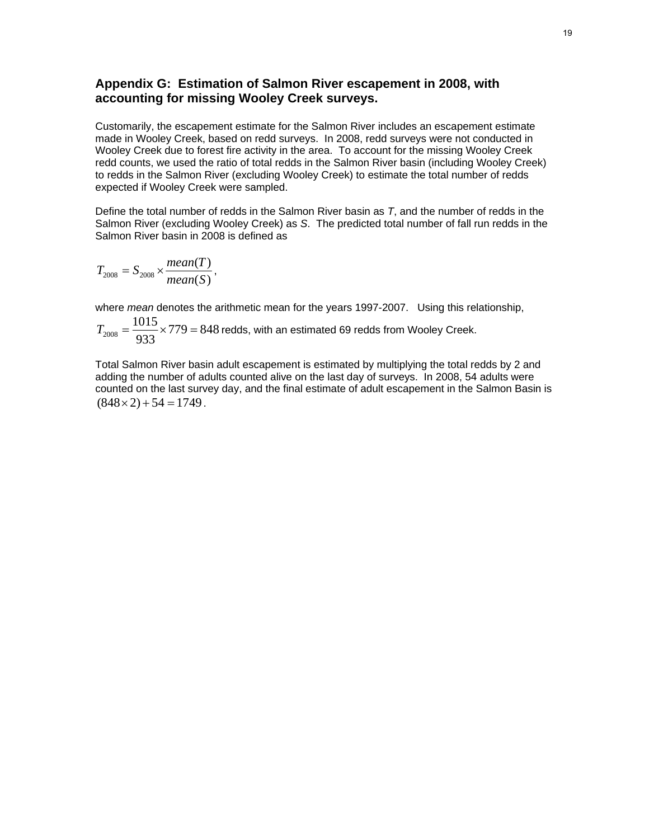# **Appendix G: Estimation of Salmon River escapement in 2008, with accounting for missing Wooley Creek surveys.**

Customarily, the escapement estimate for the Salmon River includes an escapement estimate made in Wooley Creek, based on redd surveys. In 2008, redd surveys were not conducted in Wooley Creek due to forest fire activity in the area. To account for the missing Wooley Creek redd counts, we used the ratio of total redds in the Salmon River basin (including Wooley Creek) to redds in the Salmon River (excluding Wooley Creek) to estimate the total number of redds expected if Wooley Creek were sampled.

Define the total number of redds in the Salmon River basin as *T*, and the number of redds in the Salmon River (excluding Wooley Creek) as *S*. The predicted total number of fall run redds in the Salmon River basin in 2008 is defined as

$$
T_{2008} = S_{2008} \times \frac{mean(T)}{mean(S)},
$$

where *mean* denotes the arithmetic mean for the years 1997-2007. Using this relationship,

$$
T_{2008} = \frac{1015}{933} \times 779 = 848
$$
 redds, with an estimated 69 redds from Wooley Creek.

Total Salmon River basin adult escapement is estimated by multiplying the total redds by 2 and adding the number of adults counted alive on the last day of surveys. In 2008, 54 adults were counted on the last survey day, and the final estimate of adult escapement in the Salmon Basin is  $(848 \times 2) + 54 = 1749$ .